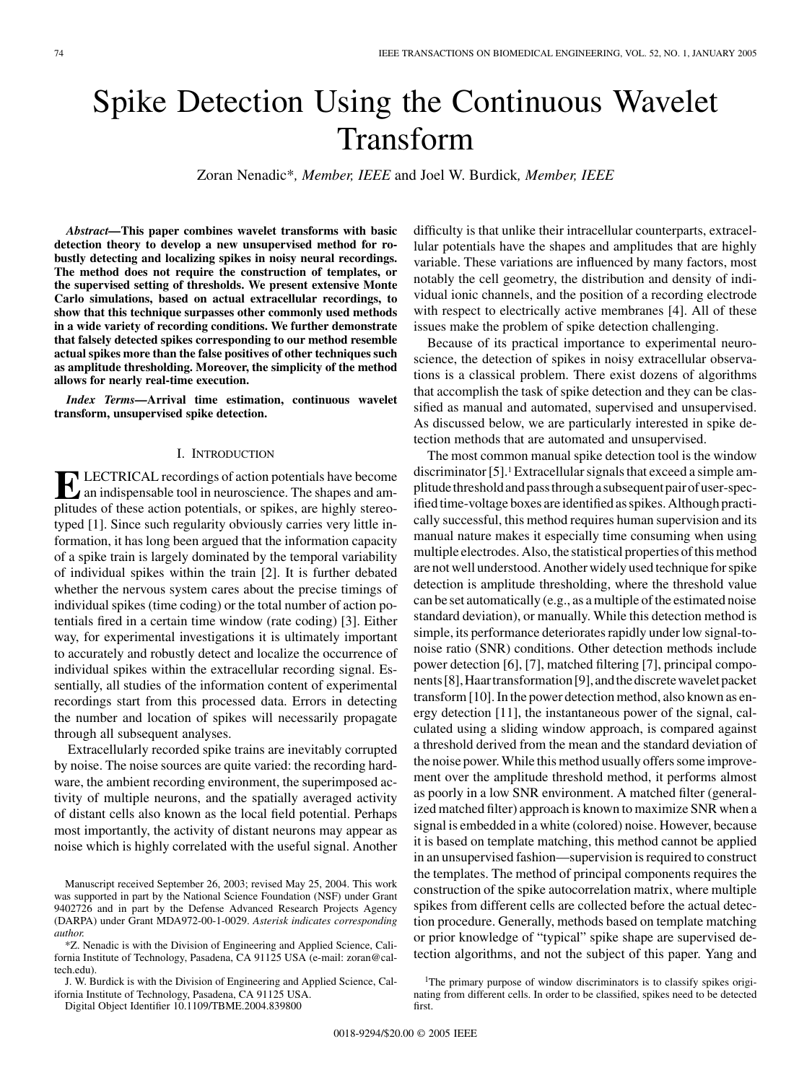# Spike Detection Using the Continuous Wavelet Transform

Zoran Nenadic\**, Member, IEEE* and Joel W. Burdick*, Member, IEEE*

*Abstract—***This paper combines wavelet transforms with basic detection theory to develop a new unsupervised method for robustly detecting and localizing spikes in noisy neural recordings. The method does not require the construction of templates, or the supervised setting of thresholds. We present extensive Monte Carlo simulations, based on actual extracellular recordings, to show that this technique surpasses other commonly used methods in a wide variety of recording conditions. We further demonstrate that falsely detected spikes corresponding to our method resemble actual spikes more than the false positives of other techniques such as amplitude thresholding. Moreover, the simplicity of the method allows for nearly real-time execution.**

*Index Terms—***Arrival time estimation, continuous wavelet transform, unsupervised spike detection.**

#### I. INTRODUCTION

**ELECTRICAL recordings of action potentials have become**<br>an indispensable tool in neuroscience. The shapes and am-<br>plitudes of these estion potentials, or spiles, are highly stared. plitudes of these action potentials, or spikes, are highly stereotyped [[1\]](#page-12-0). Since such regularity obviously carries very little information, it has long been argued that the information capacity of a spike train is largely dominated by the temporal variability of individual spikes within the train [\[2](#page-12-0)]. It is further debated whether the nervous system cares about the precise timings of individual spikes (time coding) or the total number of action potentials fired in a certain time window (rate coding) [[3\]](#page-12-0). Either way, for experimental investigations it is ultimately important to accurately and robustly detect and localize the occurrence of individual spikes within the extracellular recording signal. Essentially, all studies of the information content of experimental recordings start from this processed data. Errors in detecting the number and location of spikes will necessarily propagate through all subsequent analyses.

Extracellularly recorded spike trains are inevitably corrupted by noise. The noise sources are quite varied: the recording hardware, the ambient recording environment, the superimposed activity of multiple neurons, and the spatially averaged activity of distant cells also known as the local field potential. Perhaps most importantly, the activity of distant neurons may appear as noise which is highly correlated with the useful signal. Another

\*Z. Nenadic is with the Division of Engineering and Applied Science, California Institute of Technology, Pasadena, CA 91125 USA (e-mail: zoran@caltech.edu).

J. W. Burdick is with the Division of Engineering and Applied Science, California Institute of Technology, Pasadena, CA 91125 USA.

Digital Object Identifier 10.1109/TBME.2004.839800

difficulty is that unlike their intracellular counterparts, extracellular potentials have the shapes and amplitudes that are highly variable. These variations are influenced by many factors, most notably the cell geometry, the distribution and density of individual ionic channels, and the position of a recording electrode with respect to electrically active membranes [\[4\]](#page-12-0). All of these issues make the problem of spike detection challenging.

Because of its practical importance to experimental neuroscience, the detection of spikes in noisy extracellular observations is a classical problem. There exist dozens of algorithms that accomplish the task of spike detection and they can be classified as manual and automated, supervised and unsupervised. As discussed below, we are particularly interested in spike detection methods that are automated and unsupervised.

The most common manual spike detection tool is the window discriminator [[5\]](#page-12-0).1 Extracellular signals that exceed a simple amplitude threshold and pass through a subsequent pair of user-specified time-voltage boxes are identified as spikes. Although practically successful, this method requires human supervision and its manual nature makes it especially time consuming when using multiple electrodes. Also, the statistical properties of this method are not well understood. Another widely used technique for spike detection is amplitude thresholding, where the threshold value can be set automatically (e.g., as a multiple of the estimated noise standard deviation), or manually. While this detection method is simple, its performance deteriorates rapidly under low signal-tonoise ratio (SNR) conditions. Other detection methods include power detection [\[6](#page-12-0)], [\[7](#page-12-0)], matched filtering [[7\]](#page-12-0), principal compo-nents [\[8](#page-12-0)], Haartransformation [\[9](#page-12-0)], and the discrete wavelet packet transform [\[10](#page-12-0)]. In the power detection method, also known as energy detection [[11\]](#page-12-0), the instantaneous power of the signal, calculated using a sliding window approach, is compared against a threshold derived from the mean and the standard deviation of the noise power. While this method usually offers some improvement over the amplitude threshold method, it performs almost as poorly in a low SNR environment. A matched filter (generalized matched filter) approach is known to maximize SNR when a signal is embedded in a white (colored) noise. However, because it is based on template matching, this method cannot be applied in an unsupervised fashion—supervision is required to construct the templates. The method of principal components requires the construction of the spike autocorrelation matrix, where multiple spikes from different cells are collected before the actual detection procedure. Generally, methods based on template matching or prior knowledge of "typical" spike shape are supervised detection algorithms, and not the subject of this paper. Yang and

Manuscript received September 26, 2003; revised May 25, 2004. This work was supported in part by the National Science Foundation (NSF) under Grant 9402726 and in part by the Defense Advanced Research Projects Agency (DARPA) under Grant MDA972-00-1-0029. *Asterisk indicates corresponding author.*

<sup>&</sup>lt;sup>1</sup>The primary purpose of window discriminators is to classify spikes originating from different cells. In order to be classified, spikes need to be detected first.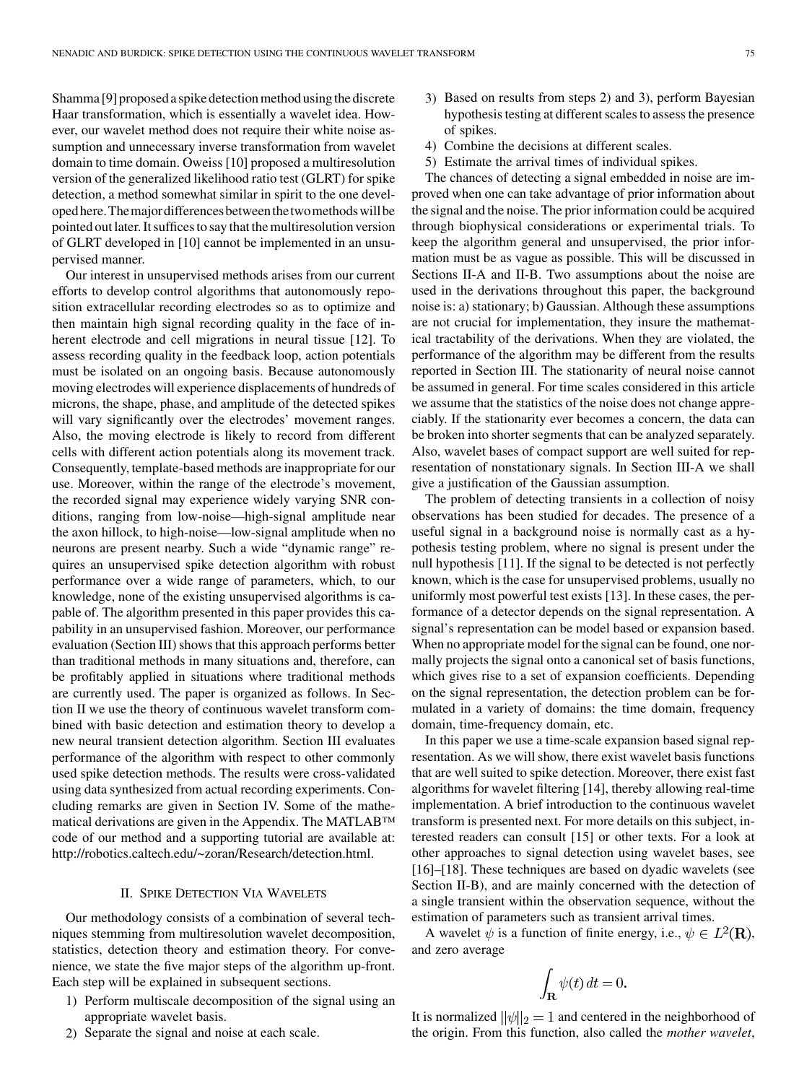Shamma [[9\]](#page-12-0) proposed a spike detection method using the discrete Haar transformation, which is essentially a wavelet idea. However, our wavelet method does not require their white noise assumption and unnecessary inverse transformation from wavelet domain to time domain. Oweiss [\[10](#page-12-0)] proposed a multiresolution version of the generalized likelihood ratio test (GLRT) for spike detection, a method somewhat similar in spirit to the one developedhere.Themajordifferencesbetweenthetwomethodswillbe pointed out later. It suffices to say that the multiresolution version of GLRT developed in [[10](#page-12-0)] cannot be implemented in an unsupervised manner.

Our interest in unsupervised methods arises from our current efforts to develop control algorithms that autonomously reposition extracellular recording electrodes so as to optimize and then maintain high signal recording quality in the face of in-herent electrode and cell migrations in neural tissue [\[12](#page-12-0)]. To assess recording quality in the feedback loop, action potentials must be isolated on an ongoing basis. Because autonomously moving electrodes will experience displacements of hundreds of microns, the shape, phase, and amplitude of the detected spikes will vary significantly over the electrodes' movement ranges. Also, the moving electrode is likely to record from different cells with different action potentials along its movement track. Consequently, template-based methods are inappropriate for our use. Moreover, within the range of the electrode's movement, the recorded signal may experience widely varying SNR conditions, ranging from low-noise—high-signal amplitude near the axon hillock, to high-noise—low-signal amplitude when no neurons are present nearby. Such a wide "dynamic range" requires an unsupervised spike detection algorithm with robust performance over a wide range of parameters, which, to our knowledge, none of the existing unsupervised algorithms is capable of. The algorithm presented in this paper provides this capability in an unsupervised fashion. Moreover, our performance evaluation (Section III) shows that this approach performs better than traditional methods in many situations and, therefore, can be profitably applied in situations where traditional methods are currently used. The paper is organized as follows. In Section II we use the theory of continuous wavelet transform combined with basic detection and estimation theory to develop a new neural transient detection algorithm. Section III evaluates performance of the algorithm with respect to other commonly used spike detection methods. The results were cross-validated using data synthesized from actual recording experiments. Concluding remarks are given in Section IV. Some of the mathematical derivations are given in the Appendix. The MATLAB™ code of our method and a supporting tutorial are available at: http://robotics.caltech.edu/~zoran/Research/detection.html.

## II. SPIKE DETECTION VIA WAVELETS

Our methodology consists of a combination of several techniques stemming from multiresolution wavelet decomposition, statistics, detection theory and estimation theory. For convenience, we state the five major steps of the algorithm up-front. Each step will be explained in subsequent sections.

- 1) Perform multiscale decomposition of the signal using an appropriate wavelet basis.
- 2) Separate the signal and noise at each scale.
- 3) Based on results from steps 2) and 3), perform Bayesian hypothesis testing at different scales to assess the presence of spikes.
- 4) Combine the decisions at different scales.
- 5) Estimate the arrival times of individual spikes.

The chances of detecting a signal embedded in noise are improved when one can take advantage of prior information about the signal and the noise. The prior information could be acquired through biophysical considerations or experimental trials. To keep the algorithm general and unsupervised, the prior information must be as vague as possible. This will be discussed in Sections II-A and II-B. Two assumptions about the noise are used in the derivations throughout this paper, the background noise is: a) stationary; b) Gaussian. Although these assumptions are not crucial for implementation, they insure the mathematical tractability of the derivations. When they are violated, the performance of the algorithm may be different from the results reported in Section III. The stationarity of neural noise cannot be assumed in general. For time scales considered in this article we assume that the statistics of the noise does not change appreciably. If the stationarity ever becomes a concern, the data can be broken into shorter segments that can be analyzed separately. Also, wavelet bases of compact support are well suited for representation of nonstationary signals. In Section III-A we shall give a justification of the Gaussian assumption.

The problem of detecting transients in a collection of noisy observations has been studied for decades. The presence of a useful signal in a background noise is normally cast as a hypothesis testing problem, where no signal is present under the null hypothesis [\[11](#page-12-0)]. If the signal to be detected is not perfectly known, which is the case for unsupervised problems, usually no uniformly most powerful test exists [[13\]](#page-12-0). In these cases, the performance of a detector depends on the signal representation. A signal's representation can be model based or expansion based. When no appropriate model for the signal can be found, one normally projects the signal onto a canonical set of basis functions, which gives rise to a set of expansion coefficients. Depending on the signal representation, the detection problem can be formulated in a variety of domains: the time domain, frequency domain, time-frequency domain, etc.

In this paper we use a time-scale expansion based signal representation. As we will show, there exist wavelet basis functions that are well suited to spike detection. Moreover, there exist fast algorithms for wavelet filtering [\[14](#page-12-0)], thereby allowing real-time implementation. A brief introduction to the continuous wavelet transform is presented next. For more details on this subject, interested readers can consult [\[15\]](#page-12-0) or other texts. For a look at other approaches to signal detection using wavelet bases, see [\[16](#page-12-0)]–[\[18\]](#page-12-0). These techniques are based on dyadic wavelets (see Section II-B), and are mainly concerned with the detection of a single transient within the observation sequence, without the estimation of parameters such as transient arrival times.

A wavelet  $\psi$  is a function of finite energy, i.e.,  $\psi \in L^2(\mathbf{R})$ , and zero average

$$
\int_{\mathbf{R}} \psi(t) \, dt = 0.
$$

It is normalized  $||\psi||_2 = 1$  and centered in the neighborhood of the origin. From this function, also called the *mother wavelet*,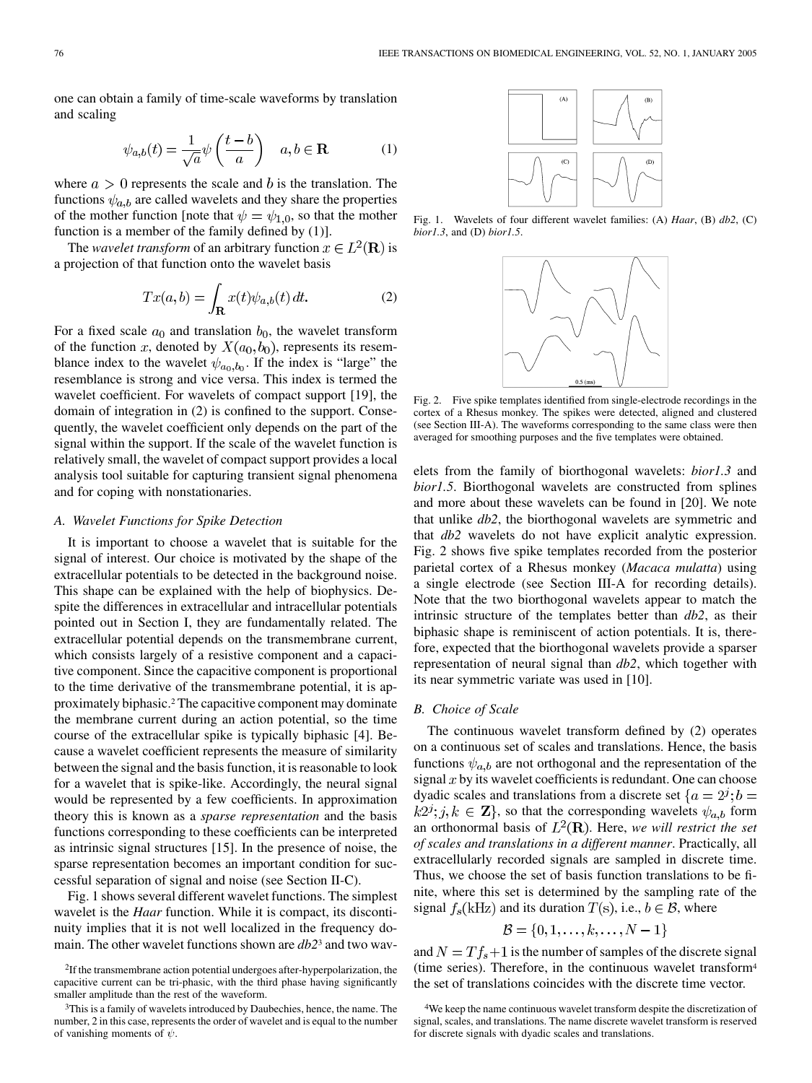one can obtain a family of time-scale waveforms by translation and scaling

$$
\psi_{a,b}(t) = \frac{1}{\sqrt{a}} \psi\left(\frac{t-b}{a}\right) \quad a, b \in \mathbf{R} \tag{1}
$$

where  $a > 0$  represents the scale and b is the translation. The functions  $\psi_{a,b}$  are called wavelets and they share the properties of the mother function [note that  $\psi = \psi_{1,0}$ , so that the mother function is a member of the family defined by  $(1)$ ].

The *wavelet transform* of an arbitrary function  $x \in L^2(\mathbf{R})$  is a projection of that function onto the wavelet basis

$$
Tx(a,b) = \int_{\mathbf{R}} x(t)\psi_{a,b}(t) dt.
$$
 (2)

For a fixed scale  $a_0$  and translation  $b_0$ , the wavelet transform of the function x, denoted by  $X(a_0, b_0)$ , represents its resemblance index to the wavelet  $\psi_{a_0,b_0}$ . If the index is "large" the resemblance is strong and vice versa. This index is termed the wavelet coefficient. For wavelets of compact support [[19\]](#page-12-0), the domain of integration in (2) is confined to the support. Consequently, the wavelet coefficient only depends on the part of the signal within the support. If the scale of the wavelet function is relatively small, the wavelet of compact support provides a local analysis tool suitable for capturing transient signal phenomena and for coping with nonstationaries.

#### *A. Wavelet Functions for Spike Detection*

It is important to choose a wavelet that is suitable for the signal of interest. Our choice is motivated by the shape of the extracellular potentials to be detected in the background noise. This shape can be explained with the help of biophysics. Despite the differences in extracellular and intracellular potentials pointed out in Section I, they are fundamentally related. The extracellular potential depends on the transmembrane current, which consists largely of a resistive component and a capacitive component. Since the capacitive component is proportional to the time derivative of the transmembrane potential, it is approximately biphasic.2 The capacitive component may dominate the membrane current during an action potential, so the time course of the extracellular spike is typically biphasic [\[4](#page-12-0)]. Because a wavelet coefficient represents the measure of similarity between the signal and the basis function, it is reasonable to look for a wavelet that is spike-like. Accordingly, the neural signal would be represented by a few coefficients. In approximation theory this is known as a *sparse representation* and the basis functions corresponding to these coefficients can be interpreted as intrinsic signal structures [\[15](#page-12-0)]. In the presence of noise, the sparse representation becomes an important condition for successful separation of signal and noise (see Section II-C).

Fig. 1 shows several different wavelet functions. The simplest wavelet is the *Haar* function. While it is compact, its discontinuity implies that it is not well localized in the frequency domain. The other wavelet functions shown are *db2*<sup>3</sup> and two wav-

2If the transmembrane action potential undergoes after-hyperpolarization, the capacitive current can be tri-phasic, with the third phase having significantly smaller amplitude than the rest of the waveform.



Fig. 1. Wavelets of four different wavelet families: (A) *Haar*, (B) *db2*, (C) *bior1.3*, and (D) *bior1.5*.



Fig. 2. Five spike templates identified from single-electrode recordings in the cortex of a Rhesus monkey. The spikes were detected, aligned and clustered (see Section III-A). The waveforms corresponding to the same class were then averaged for smoothing purposes and the five templates were obtained.

elets from the family of biorthogonal wavelets: *bior1.3* and *bior1.5*. Biorthogonal wavelets are constructed from splines and more about these wavelets can be found in [\[20](#page-12-0)]. We note that unlike *db2*, the biorthogonal wavelets are symmetric and that *db2* wavelets do not have explicit analytic expression. Fig. 2 shows five spike templates recorded from the posterior parietal cortex of a Rhesus monkey (*Macaca mulatta*) using a single electrode (see Section III-A for recording details). Note that the two biorthogonal wavelets appear to match the intrinsic structure of the templates better than *db2*, as their biphasic shape is reminiscent of action potentials. It is, therefore, expected that the biorthogonal wavelets provide a sparser representation of neural signal than *db2*, which together with its near symmetric variate was used in [[10\]](#page-12-0).

#### *B. Choice of Scale*

The continuous wavelet transform defined by (2) operates on a continuous set of scales and translations. Hence, the basis functions  $\psi_{a,b}$  are not orthogonal and the representation of the signal  $x$  by its wavelet coefficients is redundant. One can choose dyadic scales and translations from a discrete set  $\{a = 2^j; b =$  $k2^j$ ;  $j, k \in \mathbf{Z}$ , so that the corresponding wavelets  $\psi_{a,b}$  form an orthonormal basis of  $L^2(\mathbf{R})$ . Here, we will restrict the set *of scales and translations in a different manner*. Practically, all extracellularly recorded signals are sampled in discrete time. Thus, we choose the set of basis function translations to be finite, where this set is determined by the sampling rate of the signal  $f_s(kHz)$  and its duration  $T(s)$ , i.e.,  $b \in \mathcal{B}$ , where

$$
\mathcal{B} = \{0,1,\ldots,k,\ldots,N-1\}
$$

and  $N = Tf_s + 1$  is the number of samples of the discrete signal (time series). Therefore, in the continuous wavelet transform4 the set of translations coincides with the discrete time vector.

<sup>3</sup>This is a family of wavelets introduced by Daubechies, hence, the name. The number, 2 in this case, represents the order of wavelet and is equal to the number of vanishing moments of  $\psi$ .

<sup>4</sup>We keep the name continuous wavelet transform despite the discretization of signal, scales, and translations. The name discrete wavelet transform is reserved for discrete signals with dyadic scales and translations.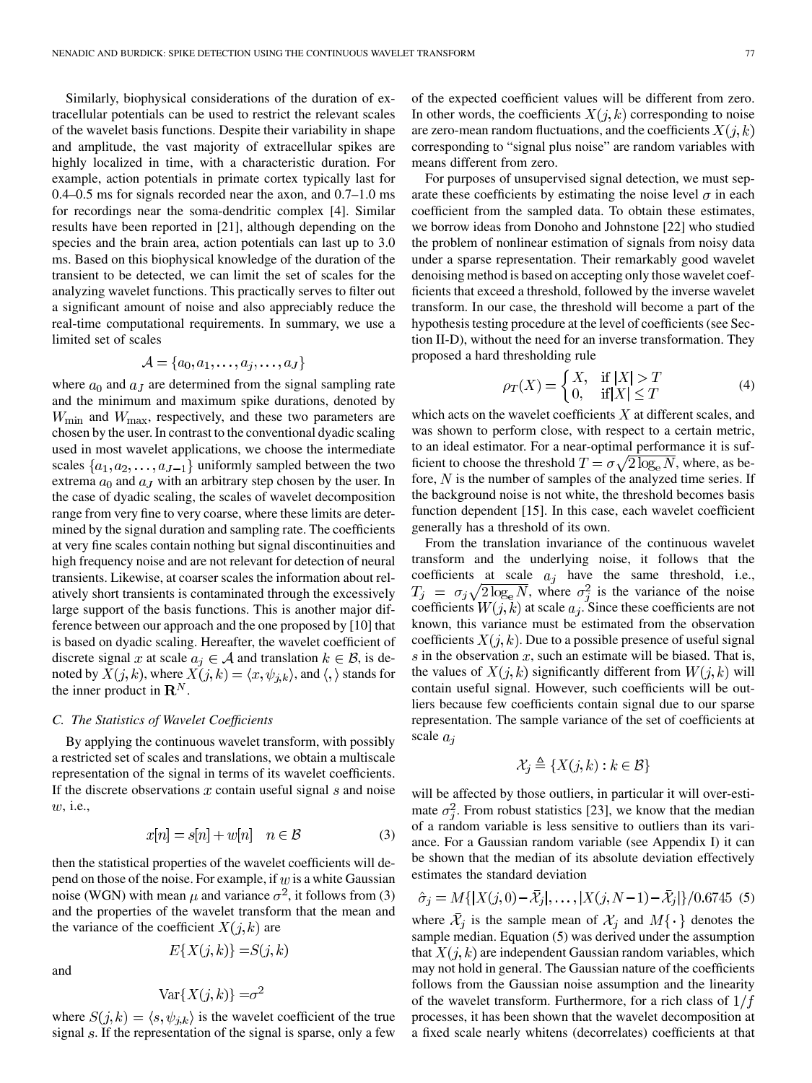Similarly, biophysical considerations of the duration of extracellular potentials can be used to restrict the relevant scales of the wavelet basis functions. Despite their variability in shape and amplitude, the vast majority of extracellular spikes are highly localized in time, with a characteristic duration. For example, action potentials in primate cortex typically last for 0.4–0.5 ms for signals recorded near the axon, and 0.7–1.0 ms for recordings near the soma-dendritic complex [[4\]](#page-12-0). Similar results have been reported in [[21\]](#page-12-0), although depending on the species and the brain area, action potentials can last up to 3.0 ms. Based on this biophysical knowledge of the duration of the transient to be detected, we can limit the set of scales for the analyzing wavelet functions. This practically serves to filter out a significant amount of noise and also appreciably reduce the real-time computational requirements. In summary, we use a limited set of scales

$$
\mathcal{A} = \{a_0, a_1, \ldots, a_j, \ldots, a_J\}
$$

where  $a_0$  and  $a<sub>J</sub>$  are determined from the signal sampling rate and the minimum and maximum spike durations, denoted by  $W_{\text{min}}$  and  $W_{\text{max}}$ , respectively, and these two parameters are chosen by the user. In contrast to the conventional dyadic scaling used in most wavelet applications, we choose the intermediate scales  $\{a_1, a_2, \ldots, a_{J-1}\}\$  uniformly sampled between the two extrema  $a_0$  and  $a<sub>J</sub>$  with an arbitrary step chosen by the user. In the case of dyadic scaling, the scales of wavelet decomposition range from very fine to very coarse, where these limits are determined by the signal duration and sampling rate. The coefficients at very fine scales contain nothing but signal discontinuities and high frequency noise and are not relevant for detection of neural transients. Likewise, at coarser scales the information about relatively short transients is contaminated through the excessively large support of the basis functions. This is another major difference between our approach and the one proposed by [[10\]](#page-12-0) that is based on dyadic scaling. Hereafter, the wavelet coefficient of discrete signal x at scale  $a_i \in A$  and translation  $k \in \mathcal{B}$ , is denoted by  $\widetilde{X}(j,k)$ , where  $\widetilde{X}(j,k) = \langle x, \psi_{j,k} \rangle$ , and  $\langle, \rangle$  stands for the inner product in  $\mathbf{R}^{N}$ .

### *C. The Statistics of Wavelet Coefficients*

By applying the continuous wavelet transform, with possibly a restricted set of scales and translations, we obtain a multiscale representation of the signal in terms of its wavelet coefficients. If the discrete observations  $x$  contain useful signal  $s$  and noise w, *i.e.*,

$$
x[n] = s[n] + w[n] \quad n \in \mathcal{B}
$$
 (3)

then the statistical properties of the wavelet coefficients will depend on those of the noise. For example, if  $w$  is a white Gaussian noise (WGN) with mean  $\mu$  and variance  $\sigma^2$ , it follows from (3) and the properties of the wavelet transform that the mean and the variance of the coefficient  $X(j,k)$  are

 $E{X(j,k)} = S(j,k)$ 

and

$$
\text{Var}\{X(j,k)\} = \sigma^2
$$

where  $S(j,k) = \langle s, \psi_{j,k} \rangle$  is the wavelet coefficient of the true signal  $s$ . If the representation of the signal is sparse, only a few of the expected coefficient values will be different from zero. In other words, the coefficients  $X(j,k)$  corresponding to noise are zero-mean random fluctuations, and the coefficients  $X(j,k)$ corresponding to "signal plus noise" are random variables with means different from zero.

For purposes of unsupervised signal detection, we must separate these coefficients by estimating the noise level  $\sigma$  in each coefficient from the sampled data. To obtain these estimates, we borrow ideas from Donoho and Johnstone [\[22](#page-12-0)] who studied the problem of nonlinear estimation of signals from noisy data under a sparse representation. Their remarkably good wavelet denoising method is based on accepting only those wavelet coefficients that exceed a threshold, followed by the inverse wavelet transform. In our case, the threshold will become a part of the hypothesis testing procedure at the level of coefficients (see Section II-D), without the need for an inverse transformation. They proposed a hard thresholding rule

$$
\rho_T(X) = \begin{cases} X, & \text{if } |X| > T \\ 0, & \text{if } |X| \le T \end{cases}
$$
 (4)

which acts on the wavelet coefficients  $X$  at different scales, and was shown to perform close, with respect to a certain metric, to an ideal estimator. For a near-optimal performance it is sufficient to choose the threshold  $T = \sigma \sqrt{2 \log_e N}$ , where, as before,  $N$  is the number of samples of the analyzed time series. If the background noise is not white, the threshold becomes basis function dependent [[15\]](#page-12-0). In this case, each wavelet coefficient generally has a threshold of its own.

From the translation invariance of the continuous wavelet transform and the underlying noise, it follows that the coefficients at scale  $a_i$  have the same threshold, i.e., , where  $\sigma_i^2$  is the variance of the noise coefficients  $W(j, k)$  at scale  $a_j$ . Since these coefficients are not known, this variance must be estimated from the observation coefficients  $X(j,k)$ . Due to a possible presence of useful signal  $\tilde{s}$  in the observation  $\tilde{x}$ , such an estimate will be biased. That is, the values of  $X(j,k)$  significantly different from  $W(j,k)$  will contain useful signal. However, such coefficients will be outliers because few coefficients contain signal due to our sparse representation. The sample variance of the set of coefficients at scale  $a_i$ 

$$
\mathcal{X}_j \triangleq \{ X(j,k) : k \in \mathcal{B} \}
$$

will be affected by those outliers, in particular it will over-estimate  $\sigma_i^2$ . From robust statistics [\[23\]](#page-12-0), we know that the median of a random variable is less sensitive to outliers than its variance. For a Gaussian random variable (see Appendix I) it can be shown that the median of its absolute deviation effectively estimates the standard deviation

$$
\hat{\sigma}_j = M\{ |X(j,0) - \bar{X}_j|, \dots, |X(j, N-1) - \bar{X}_j| \}/0.6745 \tag{5}
$$

where  $\mathcal{X}_j$  is the sample mean of  $\mathcal{X}_j$  and  $M\{\cdot\}$  denotes the sample median. Equation (5) was derived under the assumption that  $X(i, k)$  are independent Gaussian random variables, which may not hold in general. The Gaussian nature of the coefficients follows from the Gaussian noise assumption and the linearity of the wavelet transform. Furthermore, for a rich class of  $1/f$ processes, it has been shown that the wavelet decomposition at a fixed scale nearly whitens (decorrelates) coefficients at that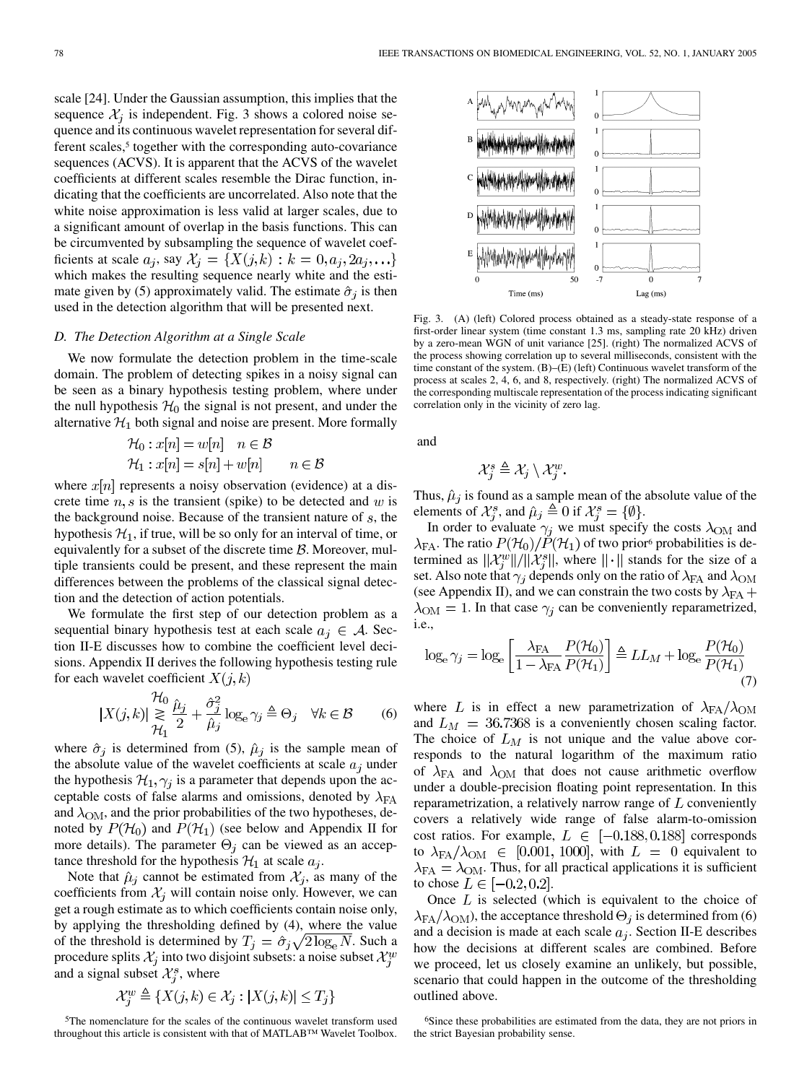scale [\[24](#page-12-0)]. Under the Gaussian assumption, this implies that the sequence  $\mathcal{X}_i$  is independent. Fig. 3 shows a colored noise sequence and its continuous wavelet representation for several different scales,<sup>5</sup> together with the corresponding auto-covariance sequences (ACVS). It is apparent that the ACVS of the wavelet coefficients at different scales resemble the Dirac function, indicating that the coefficients are uncorrelated. Also note that the white noise approximation is less valid at larger scales, due to a significant amount of overlap in the basis functions. This can be circumvented by subsampling the sequence of wavelet coefficients at scale  $a_j$ , say  $\mathcal{X}_j = \{X(j,k) : k = 0, a_j, 2a_j, \ldots\}$ which makes the resulting sequence nearly white and the estimate given by (5) approximately valid. The estimate  $\hat{\sigma}_i$  is then used in the detection algorithm that will be presented next.

## *D. The Detection Algorithm at a Single Scale*

We now formulate the detection problem in the time-scale domain. The problem of detecting spikes in a noisy signal can be seen as a binary hypothesis testing problem, where under the null hypothesis  $H_0$  the signal is not present, and under the alternative  $\mathcal{H}_1$  both signal and noise are present. More formally

$$
\mathcal{H}_0: x[n] = w[n] \quad n \in \mathcal{B}
$$
  

$$
\mathcal{H}_1: x[n] = s[n] + w[n] \qquad n \in \mathcal{B}
$$

where  $x[n]$  represents a noisy observation (evidence) at a discrete time  $n, s$  is the transient (spike) to be detected and w is the background noise. Because of the transient nature of  $s$ , the hypothesis  $\mathcal{H}_1$ , if true, will be so only for an interval of time, or equivalently for a subset of the discrete time  $B$ . Moreover, multiple transients could be present, and these represent the main differences between the problems of the classical signal detection and the detection of action potentials.

We formulate the first step of our detection problem as a sequential binary hypothesis test at each scale  $a_i \in A$ . Section II-E discusses how to combine the coefficient level decisions. Appendix II derives the following hypothesis testing rule for each wavelet coefficient  $X(j,k)$ 

$$
|X(j,k)| \underset{\mathcal{H}_1}{\gtrsim} \frac{\mu_0}{2} \frac{\hat{\mu}_j}{2} + \frac{\hat{\sigma}_j^2}{\hat{\mu}_j} \log_e \gamma_j \triangleq \Theta_j \quad \forall k \in \mathcal{B} \qquad (6)
$$

where  $\hat{\sigma}_i$  is determined from (5),  $\hat{\mu}_i$  is the sample mean of the absolute value of the wavelet coefficients at scale  $a_j$  under the hypothesis  $\mathcal{H}_1, \gamma_j$  is a parameter that depends upon the acceptable costs of false alarms and omissions, denoted by  $\lambda_{FA}$ and  $\lambda_{OM}$ , and the prior probabilities of the two hypotheses, denoted by  $P(\mathcal{H}_0)$  and  $P(\mathcal{H}_1)$  (see below and Appendix II for more details). The parameter  $\Theta_j$  can be viewed as an acceptance threshold for the hypothesis  $\mathcal{H}_1$  at scale  $a_i$ .

Note that  $\hat{\mu}_j$  cannot be estimated from  $\mathcal{X}_j$ , as many of the coefficients from  $\mathcal{X}_i$  will contain noise only. However, we can get a rough estimate as to which coefficients contain noise only, by applying the thresholding defined by (4), where the value of the threshold is determined by  $T_j = \hat{\sigma}_j \sqrt{2 \log_e N}$ . Such a procedure splits  $\mathcal{X}_j$  into two disjoint subsets: a noise subset  $\mathcal{X}_i^w$ and a signal subset  $\mathcal{X}_{i}^{s}$ , where

$$
\mathcal{X}_j^w \triangleq \{ X(j,k) \in \mathcal{X}_j : |X(j,k)| \le T_j \}
$$

5The nomenclature for the scales of the continuous wavelet transform used throughout this article is consistent with that of MATLAB™ Wavelet Toolbox.



Fig. 3. (A) (left) Colored process obtained as a steady-state response of a first-order linear system (time constant 1.3 ms, sampling rate 20 kHz) driven by a zero-mean WGN of unit variance [[25\]](#page-12-0). (right) The normalized ACVS of the process showing correlation up to several milliseconds, consistent with the time constant of the system. (B)–(E) (left) Continuous wavelet transform of the process at scales 2, 4, 6, and 8, respectively. (right) The normalized ACVS of the corresponding multiscale representation of the process indicating significant correlation only in the vicinity of zero lag.

and

$$
\mathcal{X}_i^s \triangleq \mathcal{X}_j \setminus \mathcal{X}_i^w.
$$

Thus,  $\hat{\mu}_j$  is found as a sample mean of the absolute value of the elements of  $\mathcal{X}_{i}^{s}$ , and  $\hat{\mu}_{j} \triangleq 0$  if  $\mathcal{X}_{i}^{s} = \{\emptyset\}.$ 

In order to evaluate  $\gamma_j$  we must specify the costs  $\lambda_{\text{OM}}$  and  $\lambda_{FA}$ . The ratio  $P(\mathcal{H}_0)/P(\mathcal{H}_1)$  of two prior<sup>6</sup> probabilities is determined as  $\|\mathcal{X}_i^w\|/\|\mathcal{X}_i^s\|$ , where  $\|\cdot\|$  stands for the size of a set. Also note that  $\gamma_j$  depends only on the ratio of  $\lambda_{\rm{FA}}$  and  $\lambda_{\rm{OM}}$ (see Appendix II), and we can constrain the two costs by  $\lambda_{FA}$  +  $\lambda_{\text{OM}} = 1$ . In that case  $\gamma_i$  can be conveniently reparametrized, i.e.,

$$
\log_{\mathrm{e}} \gamma_j = \log_{\mathrm{e}} \left[ \frac{\lambda_{\mathrm{FA}}}{1 - \lambda_{\mathrm{FA}}} \frac{P(\mathcal{H}_0)}{P(\mathcal{H}_1)} \right] \triangleq LL_M + \log_{\mathrm{e}} \frac{P(\mathcal{H}_0)}{P(\mathcal{H}_1)} \tag{7}
$$

where L is in effect a new parametrization of  $\lambda_{FA}/\lambda_{OM}$ and  $L_M = 36.7368$  is a conveniently chosen scaling factor. The choice of  $L_M$  is not unique and the value above corresponds to the natural logarithm of the maximum ratio of  $\lambda_{FA}$  and  $\lambda_{OM}$  that does not cause arithmetic overflow under a double-precision floating point representation. In this reparametrization, a relatively narrow range of  $L$  conveniently covers a relatively wide range of false alarm-to-omission cost ratios. For example,  $L \in [-0.188, 0.188]$  corresponds to  $\lambda_{FA}/\lambda_{OM} \in [0.001, 1000]$ , with  $L = 0$  equivalent to  $\lambda_{FA} = \lambda_{OM}$ . Thus, for all practical applications it is sufficient to chose  $L \in [-0.2, 0.2]$ .

Once  $L$  is selected (which is equivalent to the choice of  $\lambda_{FA}/\lambda_{OM}$ ), the acceptance threshold  $\Theta_j$  is determined from (6) and a decision is made at each scale  $a_j$ . Section II-E describes how the decisions at different scales are combined. Before we proceed, let us closely examine an unlikely, but possible, scenario that could happen in the outcome of the thresholding outlined above.

<sup>6</sup>Since these probabilities are estimated from the data, they are not priors in the strict Bayesian probability sense.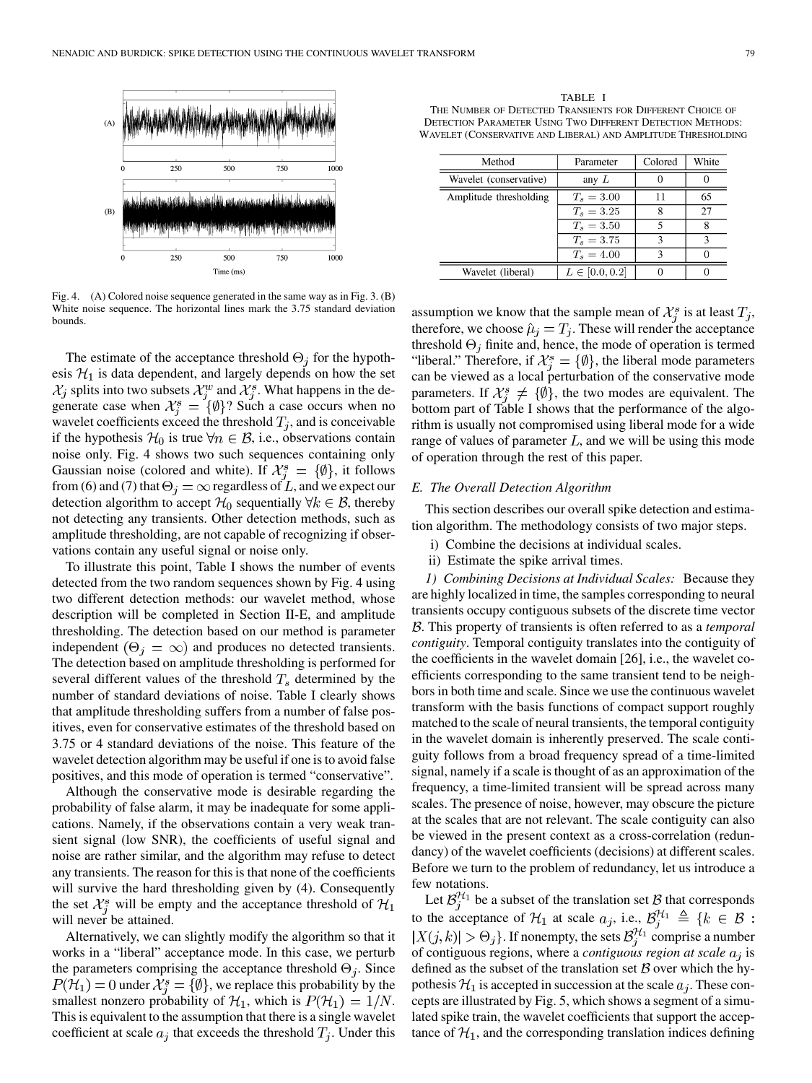

Fig. 4. (A) Colored noise sequence generated in the same way as in Fig. 3. (B) White noise sequence. The horizontal lines mark the 3.75 standard deviation bounds.

The estimate of the acceptance threshold  $\Theta_i$  for the hypothesis  $\mathcal{H}_1$  is data dependent, and largely depends on how the set  $\mathcal{X}_j$  splits into two subsets  $\mathcal{X}_i^w$  and  $\mathcal{X}_i^s$ . What happens in the degenerate case when  $\mathcal{X}_i^s = {\emptyset}$ ? Such a case occurs when no wavelet coefficients exceed the threshold  $T_i$ , and is conceivable if the hypothesis  $\mathcal{H}_0$  is true  $\forall n \in \mathcal{B}$ , i.e., observations contain noise only. Fig. 4 shows two such sequences containing only Gaussian noise (colored and white). If  $\mathcal{X}_{i}^{s} = \{\emptyset\}$ , it follows from (6) and (7) that  $\Theta_j = \infty$  regardless of L, and we expect our detection algorithm to accept  $\mathcal{H}_0$  sequentially  $\forall k \in \mathcal{B}$ , thereby not detecting any transients. Other detection methods, such as amplitude thresholding, are not capable of recognizing if observations contain any useful signal or noise only.

To illustrate this point, Table I shows the number of events detected from the two random sequences shown by Fig. 4 using two different detection methods: our wavelet method, whose description will be completed in Section II-E, and amplitude thresholding. The detection based on our method is parameter independent  $(\Theta_i = \infty)$  and produces no detected transients. The detection based on amplitude thresholding is performed for several different values of the threshold  $T_s$  determined by the number of standard deviations of noise. Table I clearly shows that amplitude thresholding suffers from a number of false positives, even for conservative estimates of the threshold based on 3.75 or 4 standard deviations of the noise. This feature of the wavelet detection algorithm may be useful if one is to avoid false positives, and this mode of operation is termed "conservative".

Although the conservative mode is desirable regarding the probability of false alarm, it may be inadequate for some applications. Namely, if the observations contain a very weak transient signal (low SNR), the coefficients of useful signal and noise are rather similar, and the algorithm may refuse to detect any transients. The reason for this is that none of the coefficients will survive the hard thresholding given by (4). Consequently the set  $\mathcal{X}_i^s$  will be empty and the acceptance threshold of  $\mathcal{H}_1$ will never be attained.

Alternatively, we can slightly modify the algorithm so that it works in a "liberal" acceptance mode. In this case, we perturb the parameters comprising the acceptance threshold  $\Theta_i$ . Since  $P(\mathcal{H}_1) = 0$  under  $\mathcal{X}_i^s = \{\emptyset\}$ , we replace this probability by the smallest nonzero probability of  $\mathcal{H}_1$ , which is  $P(\mathcal{H}_1) = 1/N$ . This is equivalent to the assumption that there is a single wavelet coefficient at scale  $a_i$  that exceeds the threshold  $T_i$ . Under this

TABLE I THE NUMBER OF DETECTED TRANSIENTS FOR DIFFERENT CHOICE OF DETECTION PARAMETER USING TWO DIFFERENT DETECTION METHODS: WAVELET (CONSERVATIVE AND LIBERAL) AND AMPLITUDE THRESHOLDING

| Method                 | Colored<br>Parameter |   | White |
|------------------------|----------------------|---|-------|
| Wavelet (conservative) | any $L$              |   |       |
| Amplitude thresholding | $T_s = 3.00$         |   | 65    |
|                        | $T_s = 3.25$         |   | 27    |
|                        | $T_s = 3.50$         |   | 8     |
|                        | $T_s = 3.75$         |   | ٩     |
|                        | $T_s = 4.00$         | 2 |       |
| Wavelet (liberal)      | $L \in [0.0, 0.2]$   |   |       |

assumption we know that the sample mean of  $\mathcal{X}_i^s$  is at least  $T_i$ , therefore, we choose  $\hat{\mu}_j = T_j$ . These will render the acceptance threshold  $\Theta_j$  finite and, hence, the mode of operation is termed "liberal." Therefore, if  $\mathcal{X}_{i}^{s} = \{\emptyset\}$ , the liberal mode parameters can be viewed as a local perturbation of the conservative mode parameters. If  $\mathcal{X}_{i}^{s} \neq \{ \emptyset \}$ , the two modes are equivalent. The bottom part of Table I shows that the performance of the algorithm is usually not compromised using liberal mode for a wide range of values of parameter  $L$ , and we will be using this mode of operation through the rest of this paper.

## *E. The Overall Detection Algorithm*

This section describes our overall spike detection and estimation algorithm. The methodology consists of two major steps.

- i) Combine the decisions at individual scales.
- ii) Estimate the spike arrival times.

*1) Combining Decisions at Individual Scales:* Because they are highly localized in time, the samples corresponding to neural transients occupy contiguous subsets of the discrete time vector . This property of transients is often referred to as a *temporal contiguity*. Temporal contiguity translates into the contiguity of the coefficients in the wavelet domain [[26\]](#page-12-0), i.e., the wavelet coefficients corresponding to the same transient tend to be neighbors in both time and scale. Since we use the continuous wavelet transform with the basis functions of compact support roughly matched to the scale of neural transients, the temporal contiguity in the wavelet domain is inherently preserved. The scale contiguity follows from a broad frequency spread of a time-limited signal, namely if a scale is thought of as an approximation of the frequency, a time-limited transient will be spread across many scales. The presence of noise, however, may obscure the picture at the scales that are not relevant. The scale contiguity can also be viewed in the present context as a cross-correlation (redundancy) of the wavelet coefficients (decisions) at different scales. Before we turn to the problem of redundancy, let us introduce a few notations.

Let  $\mathcal{B}_j^{\mathcal{H}_1}$  be a subset of the translation set  $\mathcal B$  that corresponds to the acceptance of  $\mathcal{H}_1$  at scale  $a_j$ , i.e., . If nonempty, the sets  $\mathcal{B}_i^{n_1}$  comprise a number of contiguous regions, where a *contiguous region at scale*  $a_i$  is defined as the subset of the translation set  $B$  over which the hypothesis  $\mathcal{H}_1$  is accepted in succession at the scale  $a_j$ . These concepts are illustrated by Fig. 5, which shows a segment of a simulated spike train, the wavelet coefficients that support the acceptance of  $\mathcal{H}_1$ , and the corresponding translation indices defining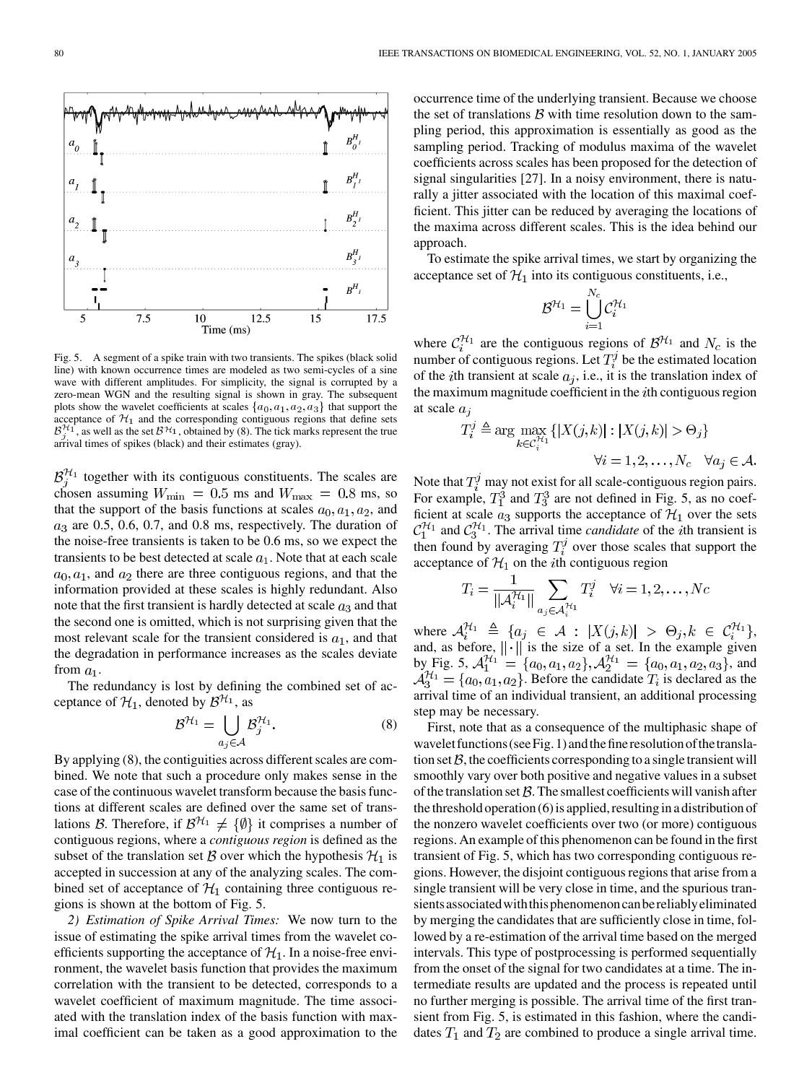

Fig. 5. A segment of a spike train with two transients. The spikes (black solid line) with known occurrence times are modeled as two semi-cycles of a sine wave with different amplitudes. For simplicity, the signal is corrupted by a zero-mean WGN and the resulting signal is shown in gray. The subsequent plots show the wavelet coefficients at scales  $\{a_0, a_1, a_2, a_3\}$  that support the acceptance of  $\mathcal{H}_1$  and the corresponding contiguous regions that define sets  $\mathcal{B}_i^{\mathcal{H}_1}$ , as well as the set  $\mathcal{B}^{\mathcal{H}_1}$ , obtained by (8). The tick marks represent the true arrival times of spikes (black) and their estimates (gray).

 $\mathcal{B}_i^{\mathcal{H}_1}$  together with its contiguous constituents. The scales are chosen assuming  $W_{\text{min}} = 0.5$  ms and  $W_{\text{max}} = 0.8$  ms, so that the support of the basis functions at scales  $a_0, a_1, a_2$ , and  $a_3$  are 0.5, 0.6, 0.7, and 0.8 ms, respectively. The duration of the noise-free transients is taken to be 0.6 ms, so we expect the transients to be best detected at scale  $a_1$ . Note that at each scale  $a_0, a_1$ , and  $a_2$  there are three contiguous regions, and that the information provided at these scales is highly redundant. Also note that the first transient is hardly detected at scale  $a_3$  and that the second one is omitted, which is not surprising given that the most relevant scale for the transient considered is  $a_1$ , and that the degradation in performance increases as the scales deviate from  $a_1$ .

The redundancy is lost by defining the combined set of acceptance of  $\mathcal{H}_1$ , denoted by  $\mathcal{B}^{\mathcal{H}_1}$ , as

$$
\mathcal{B}^{\mathcal{H}_1} = \bigcup_{a_j \in \mathcal{A}} \mathcal{B}_j^{\mathcal{H}_1}.
$$
 (8)

By applying (8), the contiguities across different scales are combined. We note that such a procedure only makes sense in the case of the continuous wavelet transform because the basis functions at different scales are defined over the same set of translations B. Therefore, if  $\mathcal{B}^{\mathcal{H}_1} \neq \{ \emptyset \}$  it comprises a number of contiguous regions, where a *contiguous region* is defined as the subset of the translation set  $\beta$  over which the hypothesis  $\mathcal{H}_1$  is accepted in succession at any of the analyzing scales. The combined set of acceptance of  $\mathcal{H}_1$  containing three contiguous regions is shown at the bottom of Fig. 5.

*2) Estimation of Spike Arrival Times:* We now turn to the issue of estimating the spike arrival times from the wavelet coefficients supporting the acceptance of  $\mathcal{H}_1$ . In a noise-free environment, the wavelet basis function that provides the maximum correlation with the transient to be detected, corresponds to a wavelet coefficient of maximum magnitude. The time associated with the translation index of the basis function with maximal coefficient can be taken as a good approximation to the occurrence time of the underlying transient. Because we choose the set of translations  $\beta$  with time resolution down to the sampling period, this approximation is essentially as good as the sampling period. Tracking of modulus maxima of the wavelet coefficients across scales has been proposed for the detection of signal singularities [\[27](#page-13-0)]. In a noisy environment, there is naturally a jitter associated with the location of this maximal coefficient. This jitter can be reduced by averaging the locations of the maxima across different scales. This is the idea behind our approach.

To estimate the spike arrival times, we start by organizing the acceptance set of  $\mathcal{H}_1$  into its contiguous constituents, i.e.,

$$
\mathcal{B}^{\mathcal{H}_1} = \bigcup_{i=1}^{N_c} \mathcal{C}_i^{\mathcal{H}_1}
$$

where  $C_i^{\mathcal{H}_1}$  are the contiguous regions of  $\mathcal{B}^{\mathcal{H}_1}$  and  $N_c$  is the number of contiguous regions. Let  $T_i^j$  be the estimated location of the *i*th transient at scale  $a_j$ , i.e., it is the translation index of the maximum magnitude coefficient in the  $i$ th contiguous region at scale  $a_i$ 

$$
T_i^j \triangleq \arg \max_{k \in \mathcal{C}_i^{N_1}} \{ |X(j,k)| : |X(j,k)| > \Theta_j \}
$$
  

$$
\forall i = 1, 2, ..., N_c \quad \forall a_j \in \mathcal{A}.
$$

Note that  $T_i^j$  may not exist for all scale-contiguous region pairs. For example,  $T_1^3$  and  $T_3^3$  are not defined in Fig. 5, as no coefficient at scale  $a_3$  supports the acceptance of  $\mathcal{H}_1$  over the sets  $C_1^{\mathcal{H}_1}$  and  $C_3^{\mathcal{H}_1}$ . The arrival time *candidate* of the *i*th transient is then found by averaging  $T_i^j$  over those scales that support the acceptance of  $\mathcal{H}_1$  on the *i*th contiguous region

$$
T_i = \frac{1}{\|A_i^{\mathcal{H}_1}\|} \sum_{a_j \in \mathcal{A}_i^{\mathcal{H}_1}} T_i^j \quad \forall i = 1, 2, \dots, Nc
$$

where  $\mathcal{A}_i^{\mathcal{H}_1} \triangleq \{a_j \in \mathcal{A} : |X(j,k)| > \Theta_j, k \in \mathcal{C}_i^{\mathcal{H}_1}\},\$ and, as before,  $\|\cdot\|$  is the size of a set. In the example given by Fig. 5,  $\mathcal{A}_1^{\mathcal{H}_1} = \{a_0, a_1, a_2\}, \mathcal{A}_2^{\mathcal{H}_1} = \{a_0, a_1, a_2, a_3\}$ , and  $\mathcal{A}_3^{H_1} = \{a_0, a_1, a_2\}$ . Before the candidate  $T_i$  is declared as the arrival time of an individual transient, an additional processing step may be necessary.

First, note that as a consequence of the multiphasic shape of wavelet functions (see Fig. 1) and the fine resolution of the translation set  $B$ , the coefficients corresponding to a single transient will smoothly vary over both positive and negative values in a subset of the translation set  $\beta$ . The smallest coefficients will vanish after the threshold operation (6) is applied, resulting in a distribution of the nonzero wavelet coefficients over two (or more) contiguous regions. An example of this phenomenon can be found in the first transient of Fig. 5, which has two corresponding contiguous regions. However, the disjoint contiguous regions that arise from a single transient will be very close in time, and the spurious transients associated with this phenomenon can be reliably eliminated by merging the candidates that are sufficiently close in time, followed by a re-estimation of the arrival time based on the merged intervals. This type of postprocessing is performed sequentially from the onset of the signal for two candidates at a time. The intermediate results are updated and the process is repeated until no further merging is possible. The arrival time of the first transient from Fig. 5, is estimated in this fashion, where the candidates  $T_1$  and  $T_2$  are combined to produce a single arrival time.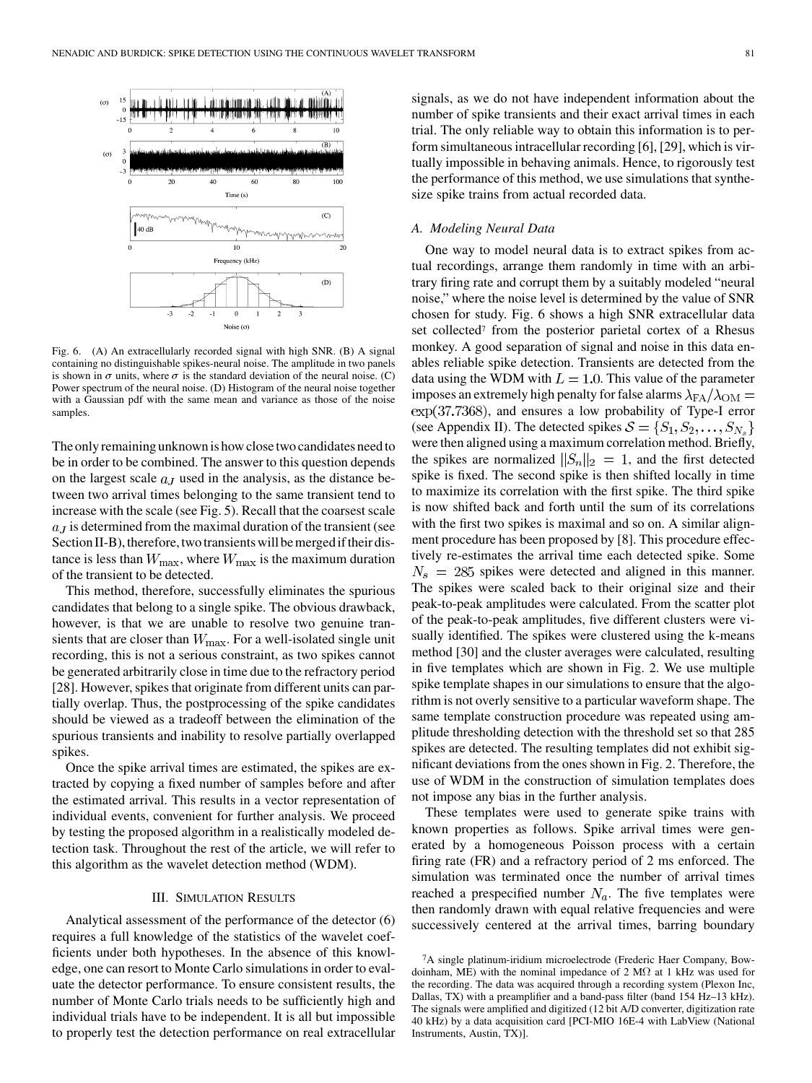

Fig. 6. (A) An extracellularly recorded signal with high SNR. (B) A signal containing no distinguishable spikes-neural noise. The amplitude in two panels is shown in  $\sigma$  units, where  $\sigma$  is the standard deviation of the neural noise. (C) Power spectrum of the neural noise. (D) Histogram of the neural noise together with a Gaussian pdf with the same mean and variance as those of the noise samples.

The only remaining unknown is how close two candidates need to be in order to be combined. The answer to this question depends on the largest scale  $a<sub>J</sub>$  used in the analysis, as the distance between two arrival times belonging to the same transient tend to increase with the scale (see Fig. 5). Recall that the coarsest scale  $a<sub>J</sub>$  is determined from the maximal duration of the transient (see Section II-B), therefore, two transients will be merged if their distance is less than  $W_{\text{max}}$ , where  $W_{\text{max}}$  is the maximum duration of the transient to be detected.

This method, therefore, successfully eliminates the spurious candidates that belong to a single spike. The obvious drawback, however, is that we are unable to resolve two genuine transients that are closer than  $W_{\text{max}}$ . For a well-isolated single unit recording, this is not a serious constraint, as two spikes cannot be generated arbitrarily close in time due to the refractory period [\[28](#page-13-0)]. However, spikes that originate from different units can partially overlap. Thus, the postprocessing of the spike candidates should be viewed as a tradeoff between the elimination of the spurious transients and inability to resolve partially overlapped spikes.

Once the spike arrival times are estimated, the spikes are extracted by copying a fixed number of samples before and after the estimated arrival. This results in a vector representation of individual events, convenient for further analysis. We proceed by testing the proposed algorithm in a realistically modeled detection task. Throughout the rest of the article, we will refer to this algorithm as the wavelet detection method (WDM).

## III. SIMULATION RESULTS

Analytical assessment of the performance of the detector (6) requires a full knowledge of the statistics of the wavelet coefficients under both hypotheses. In the absence of this knowledge, one can resort to Monte Carlo simulations in order to evaluate the detector performance. To ensure consistent results, the number of Monte Carlo trials needs to be sufficiently high and individual trials have to be independent. It is all but impossible to properly test the detection performance on real extracellular

signals, as we do not have independent information about the number of spike transients and their exact arrival times in each trial. The only reliable way to obtain this information is to perform simultaneous intracellular recording [[6\]](#page-12-0), [[29\]](#page-13-0), which is virtually impossible in behaving animals. Hence, to rigorously test the performance of this method, we use simulations that synthesize spike trains from actual recorded data.

#### *A. Modeling Neural Data*

One way to model neural data is to extract spikes from actual recordings, arrange them randomly in time with an arbitrary firing rate and corrupt them by a suitably modeled "neural noise," where the noise level is determined by the value of SNR chosen for study. Fig. 6 shows a high SNR extracellular data set collected<sup>7</sup> from the posterior parietal cortex of a Rhesus monkey. A good separation of signal and noise in this data enables reliable spike detection. Transients are detected from the data using the WDM with  $L = 1.0$ . This value of the parameter imposes an extremely high penalty for false alarms  $\lambda_{FA}/\lambda_{OM} =$  $\exp(37.7368)$ , and ensures a low probability of Type-I error (see Appendix II). The detected spikes  $S = \{S_1, S_2, \dots, S_{N_s}\}\$ were then aligned using a maximum correlation method. Briefly, the spikes are normalized  $||S_n||_2 = 1$ , and the first detected spike is fixed. The second spike is then shifted locally in time to maximize its correlation with the first spike. The third spike is now shifted back and forth until the sum of its correlations with the first two spikes is maximal and so on. A similar alignment procedure has been proposed by [[8\]](#page-12-0). This procedure effectively re-estimates the arrival time each detected spike. Some  $N_s$  = 285 spikes were detected and aligned in this manner. The spikes were scaled back to their original size and their peak-to-peak amplitudes were calculated. From the scatter plot of the peak-to-peak amplitudes, five different clusters were visually identified. The spikes were clustered using the k-means method [[30\]](#page-13-0) and the cluster averages were calculated, resulting in five templates which are shown in Fig. 2. We use multiple spike template shapes in our simulations to ensure that the algorithm is not overly sensitive to a particular waveform shape. The same template construction procedure was repeated using amplitude thresholding detection with the threshold set so that 285 spikes are detected. The resulting templates did not exhibit significant deviations from the ones shown in Fig. 2. Therefore, the use of WDM in the construction of simulation templates does not impose any bias in the further analysis.

These templates were used to generate spike trains with known properties as follows. Spike arrival times were generated by a homogeneous Poisson process with a certain firing rate (FR) and a refractory period of 2 ms enforced. The simulation was terminated once the number of arrival times reached a prespecified number  $N_a$ . The five templates were then randomly drawn with equal relative frequencies and were successively centered at the arrival times, barring boundary

<sup>7</sup>A single platinum-iridium microelectrode (Frederic Haer Company, Bowdoinham, ME) with the nominal impedance of 2 M $\Omega$  at 1 kHz was used for the recording. The data was acquired through a recording system (Plexon Inc, Dallas, TX) with a preamplifier and a band-pass filter (band 154 Hz–13 kHz). The signals were amplified and digitized (12 bit A/D converter, digitization rate 40 kHz) by a data acquisition card [PCI-MIO 16E-4 with LabView (National Instruments, Austin, TX)].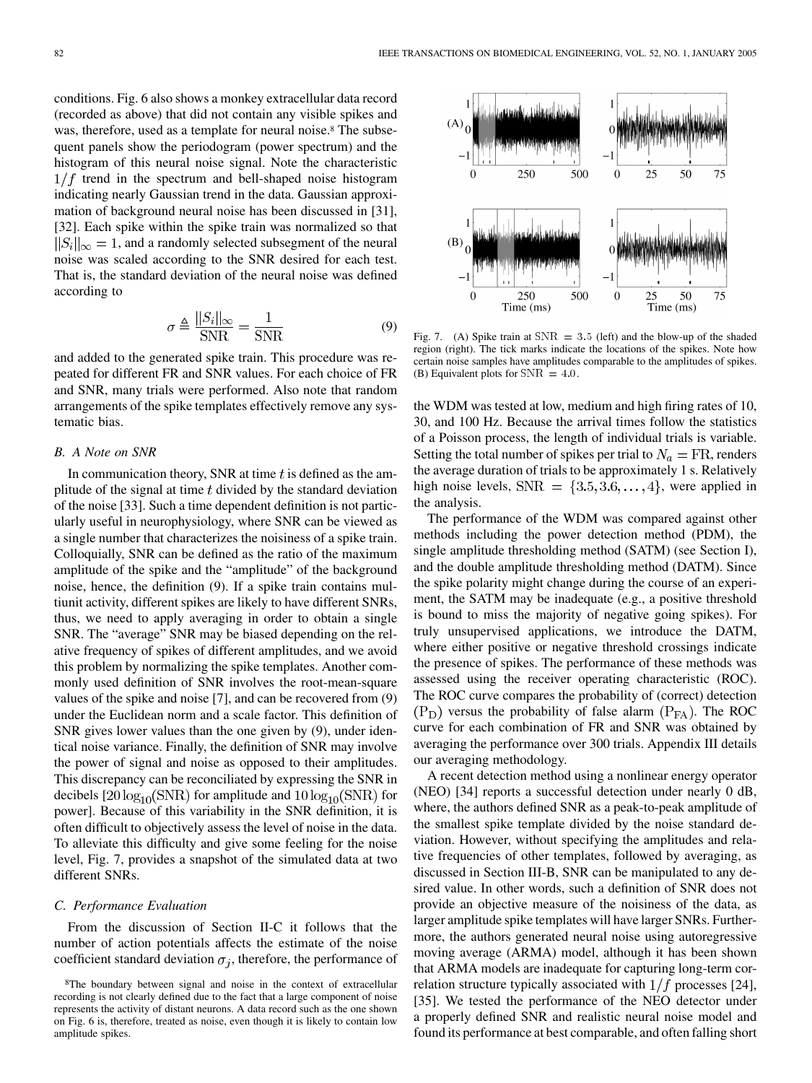conditions. Fig. 6 also shows a monkey extracellular data record (recorded as above) that did not contain any visible spikes and was, therefore, used as a template for neural noise.<sup>8</sup> The subsequent panels show the periodogram (power spectrum) and the histogram of this neural noise signal. Note the characteristic  $1/f$  trend in the spectrum and bell-shaped noise histogram indicating nearly Gaussian trend in the data. Gaussian approximation of background neural noise has been discussed in [[31\]](#page-13-0), [[32\]](#page-13-0). Each spike within the spike train was normalized so that  $||S_i||_{\infty} = 1$ , and a randomly selected subsegment of the neural noise was scaled according to the SNR desired for each test. That is, the standard deviation of the neural noise was defined according to

$$
\sigma \triangleq \frac{\|S_i\|_{\infty}}{\text{SNR}} = \frac{1}{\text{SNR}}\tag{9}
$$

and added to the generated spike train. This procedure was repeated for different FR and SNR values. For each choice of FR and SNR, many trials were performed. Also note that random arrangements of the spike templates effectively remove any systematic bias.

# *B. A Note on SNR*

In communication theory, SNR at time  $t$  is defined as the amplitude of the signal at time  $t$  divided by the standard deviation of the noise [[33\]](#page-13-0). Such a time dependent definition is not particularly useful in neurophysiology, where SNR can be viewed as a single number that characterizes the noisiness of a spike train. Colloquially, SNR can be defined as the ratio of the maximum amplitude of the spike and the "amplitude" of the background noise, hence, the definition (9). If a spike train contains multiunit activity, different spikes are likely to have different SNRs, thus, we need to apply averaging in order to obtain a single SNR. The "average" SNR may be biased depending on the relative frequency of spikes of different amplitudes, and we avoid this problem by normalizing the spike templates. Another commonly used definition of SNR involves the root-mean-square values of the spike and noise [[7\]](#page-12-0), and can be recovered from (9) under the Euclidean norm and a scale factor. This definition of SNR gives lower values than the one given by (9), under identical noise variance. Finally, the definition of SNR may involve the power of signal and noise as opposed to their amplitudes. This discrepancy can be reconciliated by expressing the SNR in decibels  $[20 \log_{10}(\text{SNR})$  for amplitude and  $10 \log_{10}(\text{SNR})$  for power]. Because of this variability in the SNR definition, it is often difficult to objectively assess the level of noise in the data. To alleviate this difficulty and give some feeling for the noise level, Fig. 7, provides a snapshot of the simulated data at two different SNRs.

#### *C. Performance Evaluation*

From the discussion of Section II-C it follows that the number of action potentials affects the estimate of the noise coefficient standard deviation  $\sigma_i$ , therefore, the performance of



Fig. 7. (A) Spike train at  $SNR = 3.5$  (left) and the blow-up of the shaded region (right). The tick marks indicate the locations of the spikes. Note how certain noise samples have amplitudes comparable to the amplitudes of spikes. (B) Equivalent plots for  $SNR = 4.0$ .

the WDM was tested at low, medium and high firing rates of 10, 30, and 100 Hz. Because the arrival times follow the statistics of a Poisson process, the length of individual trials is variable. Setting the total number of spikes per trial to  $N_a = FR$ , renders the average duration of trials to be approximately 1 s. Relatively high noise levels,  $SNR = \{3.5, 3.6, ..., 4\}$ , were applied in the analysis.

The performance of the WDM was compared against other methods including the power detection method (PDM), the single amplitude thresholding method (SATM) (see Section I), and the double amplitude thresholding method (DATM). Since the spike polarity might change during the course of an experiment, the SATM may be inadequate (e.g., a positive threshold is bound to miss the majority of negative going spikes). For truly unsupervised applications, we introduce the DATM, where either positive or negative threshold crossings indicate the presence of spikes. The performance of these methods was assessed using the receiver operating characteristic (ROC). The ROC curve compares the probability of (correct) detection  $(P_D)$  versus the probability of false alarm  $(P_{FA})$ . The ROC curve for each combination of FR and SNR was obtained by averaging the performance over 300 trials. Appendix III details our averaging methodology.

A recent detection method using a nonlinear energy operator (NEO) [\[34](#page-13-0)] reports a successful detection under nearly 0 dB, where, the authors defined SNR as a peak-to-peak amplitude of the smallest spike template divided by the noise standard deviation. However, without specifying the amplitudes and relative frequencies of other templates, followed by averaging, as discussed in Section III-B, SNR can be manipulated to any desired value. In other words, such a definition of SNR does not provide an objective measure of the noisiness of the data, as larger amplitude spike templates will have larger SNRs. Furthermore, the authors generated neural noise using autoregressive moving average (ARMA) model, although it has been shown that ARMA models are inadequate for capturing long-term correlation structure typically associated with  $1/f$  processes [[24\]](#page-12-0), [[35\]](#page-13-0). We tested the performance of the NEO detector under a properly defined SNR and realistic neural noise model and found its performance at best comparable, and often falling short

<sup>8</sup>The boundary between signal and noise in the context of extracellular recording is not clearly defined due to the fact that a large component of noise represents the activity of distant neurons. A data record such as the one shown on Fig. 6 is, therefore, treated as noise, even though it is likely to contain low amplitude spikes.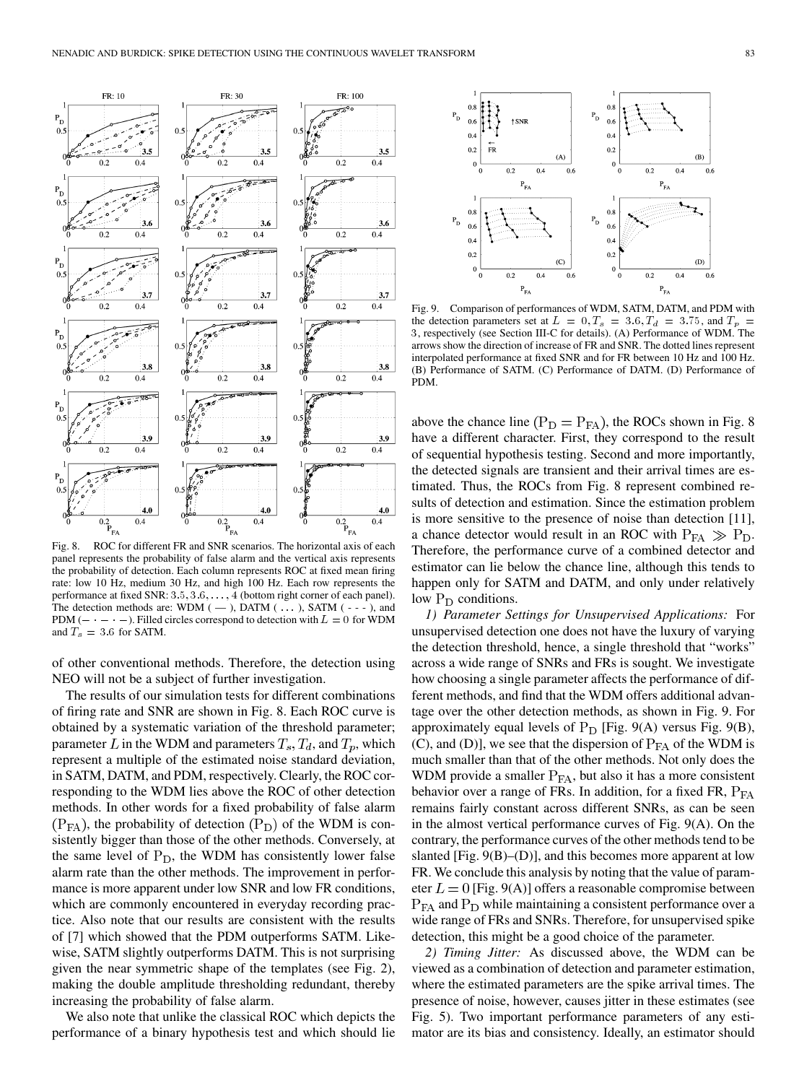

panel represents the probability of false alarm and the vertical axis represents the probability of detection. Each column represents ROC at fixed mean firing rate: low 10 Hz, medium 30 Hz, and high 100 Hz. Each row represents the performance at fixed SNR: 3.5, 3.6, ..., 4 (bottom right corner of each panel). performance at fixed SNR:  $3.5, 3.6, \ldots, 4$  (bottom right corner of each panel).<br>The detection methods are: WDM (--), DATM (...), SATM (---), and<br>PDM (-  $\cdot$  - -). Filled circles correspond to detection with  $L = 0$  for WD PDM ( $- \cdot - \cdot -$ ). Filled circles correspond to detection with  $L = 0$  for WDM and  $T_s = 3.6$  for SATM.

of other conventional methods. Therefore, the detection using NEO will not be a subject of further investigation.

The results of our simulation tests for different combinations of firing rate and SNR are shown in Fig. 8. Each ROC curve is obtained by a systematic variation of the threshold parameter; parameter L in the WDM and parameters  $T_s$ ,  $T_d$ , and  $T_p$ , which represent a multiple of the estimated noise standard deviation, in SATM, DATM, and PDM, respectively. Clearly, the ROC corresponding to the WDM lies above the ROC of other detection methods. In other words for a fixed probability of false alarm  $(P_{FA})$ , the probability of detection  $(P_D)$  of the WDM is consistently bigger than those of the other methods. Conversely, at the same level of  $P_D$ , the WDM has consistently lower false alarm rate than the other methods. The improvement in performance is more apparent under low SNR and low FR conditions, which are commonly encountered in everyday recording practice. Also note that our results are consistent with the results of [[7\]](#page-12-0) which showed that the PDM outperforms SATM. Likewise, SATM slightly outperforms DATM. This is not surprising given the near symmetric shape of the templates (see Fig. 2), making the double amplitude thresholding redundant, thereby increasing the probability of false alarm.

We also note that unlike the classical ROC which depicts the performance of a binary hypothesis test and which should lie



Fig. 9. Comparison of performances of WDM, SATM, DATM, and PDM with the detection parameters set at  $L = 0, T_s = 3.6, T_d = 3.75$ , and  $T_p =$ 3, respectively (see Section III-C for details). (A) Performance of WDM. The arrows show the direction of increase of FR and SNR. The dotted lines represent interpolated performance at fixed SNR and for FR between 10 Hz and 100 Hz. (B) Performance of SATM. (C) Performance of DATM. (D) Performance of PDM.

above the chance line ( $P_D = P_{FA}$ ), the ROCs shown in Fig. 8 have a different character. First, they correspond to the result of sequential hypothesis testing. Second and more importantly, the detected signals are transient and their arrival times are estimated. Thus, the ROCs from Fig. 8 represent combined results of detection and estimation. Since the estimation problem is more sensitive to the presence of noise than detection [\[11](#page-12-0)], a chance detector would result in an ROC with  $P_{FA} \gg P_D$ . Therefore, the performance curve of a combined detector and estimator can lie below the chance line, although this tends to happen only for SATM and DATM, and only under relatively low  $P_D$  conditions.

*1) Parameter Settings for Unsupervised Applications:* For unsupervised detection one does not have the luxury of varying the detection threshold, hence, a single threshold that "works" across a wide range of SNRs and FRs is sought. We investigate how choosing a single parameter affects the performance of different methods, and find that the WDM offers additional advantage over the other detection methods, as shown in Fig. 9. For approximately equal levels of  $P_D$  [Fig. 9(A) versus Fig. 9(B), (C), and (D)], we see that the dispersion of  $P_{FA}$  of the WDM is much smaller than that of the other methods. Not only does the WDM provide a smaller  $P_{FA}$ , but also it has a more consistent behavior over a range of FRs. In addition, for a fixed FR,  $P_{FA}$ remains fairly constant across different SNRs, as can be seen in the almost vertical performance curves of Fig. 9(A). On the contrary, the performance curves of the other methods tend to be slanted [Fig. 9(B)–(D)], and this becomes more apparent at low FR. We conclude this analysis by noting that the value of parameter  $L = 0$  [Fig. 9(A)] offers a reasonable compromise between  $P_{FA}$  and  $P_D$  while maintaining a consistent performance over a wide range of FRs and SNRs. Therefore, for unsupervised spike detection, this might be a good choice of the parameter.

*2) Timing Jitter:* As discussed above, the WDM can be viewed as a combination of detection and parameter estimation, where the estimated parameters are the spike arrival times. The presence of noise, however, causes jitter in these estimates (see Fig. 5). Two important performance parameters of any estimator are its bias and consistency. Ideally, an estimator should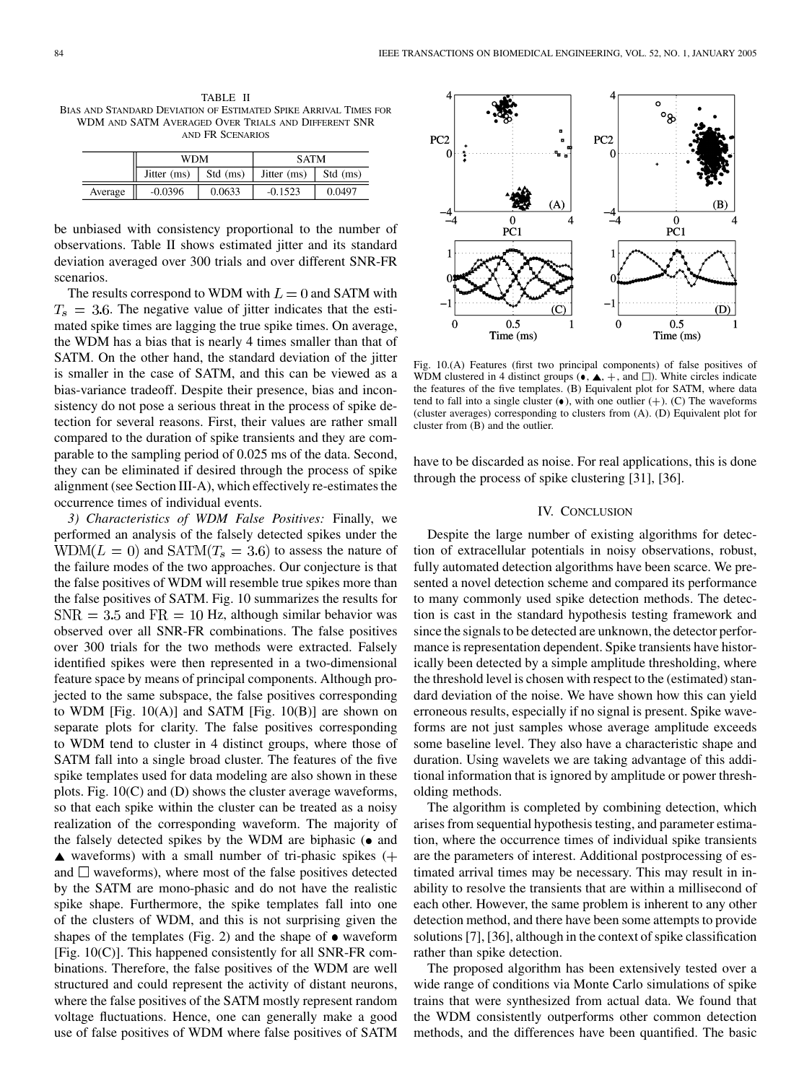TABLE II BIAS AND STANDARD DEVIATION OF ESTIMATED SPIKE ARRIVAL TIMES FOR WDM AND SATM AVERAGED OVER TRIALS AND DIFFERENT SNR AND FR SCENARIOS

|         | WDM         |          | <b>SATM</b> |          |
|---------|-------------|----------|-------------|----------|
|         | Jitter (ms) | Std (ms) | Jitter (ms) | Std (ms) |
| Average | $-0.0396$   | 0.0633   | $-0.1523$   | 0.0497   |

be unbiased with consistency proportional to the number of observations. Table II shows estimated jitter and its standard deviation averaged over 300 trials and over different SNR-FR scenarios.

The results correspond to WDM with  $L = 0$  and SATM with  $T_s = 3.6$ . The negative value of jitter indicates that the estimated spike times are lagging the true spike times. On average, the WDM has a bias that is nearly 4 times smaller than that of SATM. On the other hand, the standard deviation of the jitter is smaller in the case of SATM, and this can be viewed as a bias-variance tradeoff. Despite their presence, bias and inconsistency do not pose a serious threat in the process of spike detection for several reasons. First, their values are rather small compared to the duration of spike transients and they are comparable to the sampling period of 0.025 ms of the data. Second, they can be eliminated if desired through the process of spike alignment (see Section III-A), which effectively re-estimates the occurrence times of individual events.

*3) Characteristics of WDM False Positives:* Finally, we performed an analysis of the falsely detected spikes under the  $WDM(L = 0)$  and  $SATM(T_s = 3.6)$  to assess the nature of the failure modes of the two approaches. Our conjecture is that the false positives of WDM will resemble true spikes more than the false positives of SATM. Fig. 10 summarizes the results for  $SNR = 3.5$  and  $FR = 10$  Hz, although similar behavior was observed over all SNR-FR combinations. The false positives over 300 trials for the two methods were extracted. Falsely identified spikes were then represented in a two-dimensional feature space by means of principal components. Although projected to the same subspace, the false positives corresponding to WDM [Fig.  $10(A)$ ] and SATM [Fig.  $10(B)$ ] are shown on separate plots for clarity. The false positives corresponding to WDM tend to cluster in 4 distinct groups, where those of SATM fall into a single broad cluster. The features of the five spike templates used for data modeling are also shown in these plots. Fig. 10(C) and (D) shows the cluster average waveforms, so that each spike within the cluster can be treated as a noisy realization of the corresponding waveform. The majority of the falsely detected spikes by the WDM are biphasic  $\circ$  and  $\triangle$  waveforms) with a small number of tri-phasic spikes (+ and  $\square$  waveforms), where most of the false positives detected by the SATM are mono-phasic and do not have the realistic spike shape. Furthermore, the spike templates fall into one of the clusters of WDM, and this is not surprising given the shapes of the templates (Fig. 2) and the shape of  $\bullet$  waveform [Fig. 10(C)]. This happened consistently for all SNR-FR combinations. Therefore, the false positives of the WDM are well structured and could represent the activity of distant neurons, where the false positives of the SATM mostly represent random voltage fluctuations. Hence, one can generally make a good use of false positives of WDM where false positives of SATM



Fig. 10.(A) Features (first two principal components) of false positives of WDM clustered in 4 distinct groups  $(\bullet, \blacktriangle, +, \text{ and } \square)$ . White circles indicate the features of the five templates. (B) Equivalent plot for SATM, where data tend to fall into a single cluster  $(\bullet)$ , with one outlier  $(+)$ . (C) The waveforms (cluster averages) corresponding to clusters from (A). (D) Equivalent plot for cluster from (B) and the outlier.

have to be discarded as noise. For real applications, this is done through the process of spike clustering [\[31](#page-13-0)], [[36\]](#page-13-0).

## IV. CONCLUSION

Despite the large number of existing algorithms for detection of extracellular potentials in noisy observations, robust, fully automated detection algorithms have been scarce. We presented a novel detection scheme and compared its performance to many commonly used spike detection methods. The detection is cast in the standard hypothesis testing framework and since the signals to be detected are unknown, the detector performance is representation dependent. Spike transients have historically been detected by a simple amplitude thresholding, where the threshold level is chosen with respect to the (estimated) standard deviation of the noise. We have shown how this can yield erroneous results, especially if no signal is present. Spike waveforms are not just samples whose average amplitude exceeds some baseline level. They also have a characteristic shape and duration. Using wavelets we are taking advantage of this additional information that is ignored by amplitude or power thresholding methods.

The algorithm is completed by combining detection, which arises from sequential hypothesis testing, and parameter estimation, where the occurrence times of individual spike transients are the parameters of interest. Additional postprocessing of estimated arrival times may be necessary. This may result in inability to resolve the transients that are within a millisecond of each other. However, the same problem is inherent to any other detection method, and there have been some attempts to provide solutions [[7\]](#page-12-0), [[36\]](#page-13-0), although in the context of spike classification rather than spike detection.

The proposed algorithm has been extensively tested over a wide range of conditions via Monte Carlo simulations of spike trains that were synthesized from actual data. We found that the WDM consistently outperforms other common detection methods, and the differences have been quantified. The basic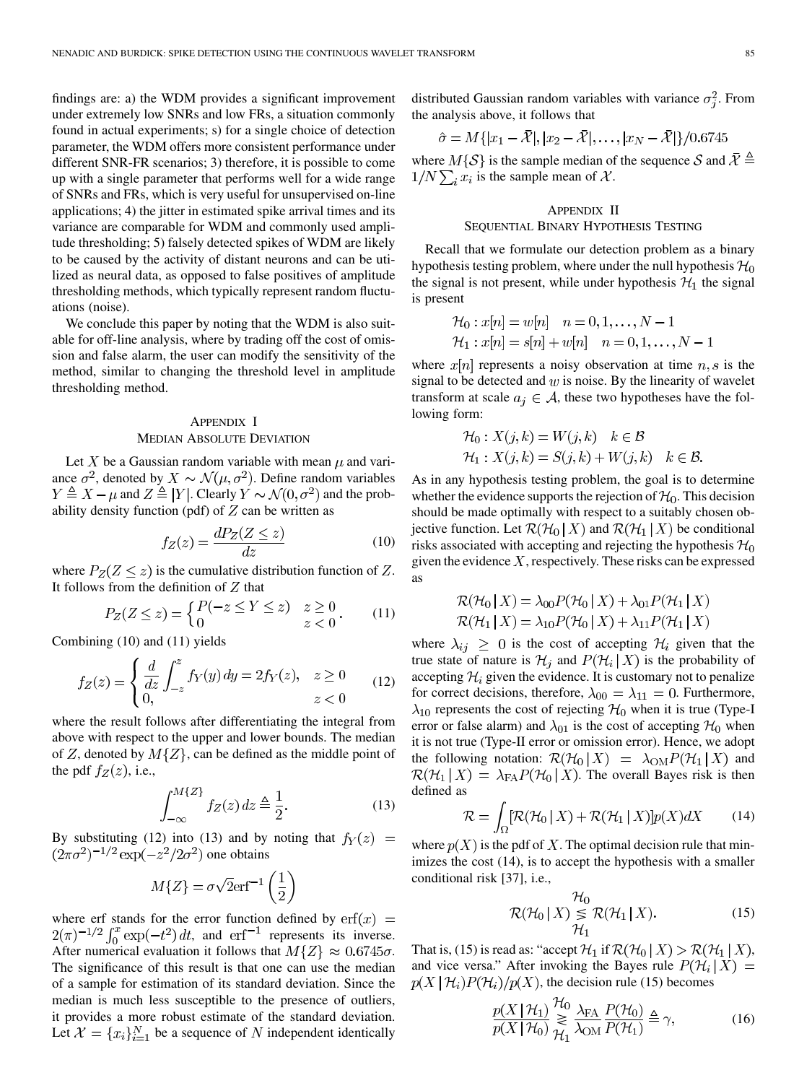findings are: a) the WDM provides a significant improvement under extremely low SNRs and low FRs, a situation commonly found in actual experiments; s) for a single choice of detection parameter, the WDM offers more consistent performance under different SNR-FR scenarios; 3) therefore, it is possible to come up with a single parameter that performs well for a wide range of SNRs and FRs, which is very useful for unsupervised on-line applications; 4) the jitter in estimated spike arrival times and its variance are comparable for WDM and commonly used amplitude thresholding; 5) falsely detected spikes of WDM are likely to be caused by the activity of distant neurons and can be utilized as neural data, as opposed to false positives of amplitude thresholding methods, which typically represent random fluctuations (noise).

We conclude this paper by noting that the WDM is also suitable for off-line analysis, where by trading off the cost of omission and false alarm, the user can modify the sensitivity of the method, similar to changing the threshold level in amplitude thresholding method.

# APPENDIX I MEDIAN ABSOLUTE DEVIATION

Let X be a Gaussian random variable with mean  $\mu$  and variance  $\sigma^2$ , denoted by  $X \sim \mathcal{N}(\mu, \sigma^2)$ . Define random variables  $Y \triangleq X - \mu$  and  $Z \triangleq |Y|$ . Clearly  $Y \sim \mathcal{N}(0, \sigma^2)$  and the probability density function (pdf) of  $Z$  can be written as

$$
f_Z(z) = \frac{dP_Z(Z \le z)}{dz} \tag{10}
$$

where  $P_Z(Z \leq z)$  is the cumulative distribution function of Z. It follows from the definition of  $Z$  that

$$
P_Z(Z \le z) = \begin{cases} P(-z \le Y \le z) & z \ge 0 \\ 0 & z < 0 \end{cases} \tag{11}
$$

Combining (10) and (11) yields

$$
f_Z(z) = \begin{cases} \frac{d}{dz} \int_{-z}^{z} f_Y(y) \, dy = 2f_Y(z), & z \ge 0\\ 0, & z < 0 \end{cases} \tag{12}
$$

where the result follows after differentiating the integral from above with respect to the upper and lower bounds. The median of Z, denoted by  $M\{Z\}$ , can be defined as the middle point of the pdf  $f_Z(z)$ , i.e.,

$$
\int_{-\infty}^{M\{Z\}} f_Z(z) dz \triangleq \frac{1}{2}.
$$
 (13)

By substituting (12) into (13) and by noting that  $f_Y(z)$  =  $(2\pi\sigma^2)^{-1/2}$  exp $(-z^2/2\sigma^2)$  one obtains

$$
M\{Z\} = \sigma\sqrt{2}\text{erf}^{-1}\left(\frac{1}{2}\right)
$$

where erf stands for the error function defined by , and  $erf^{-1}$  represents its inverse. After numerical evaluation it follows that  $M\{Z\} \approx 0.6745\sigma$ . The significance of this result is that one can use the median of a sample for estimation of its standard deviation. Since the median is much less susceptible to the presence of outliers, it provides a more robust estimate of the standard deviation. Let  $\mathcal{X} = \{x_i\}_{i=1}^N$  be a sequence of N independent identically distributed Gaussian random variables with variance  $\sigma_i^2$ . From the analysis above, it follows that

$$
\hat{\sigma} = M\{ |x_1 - \bar{X}|, |x_2 - \bar{X}|, \dots, |x_N - \bar{X}|\}/0.6745
$$

where  $M\{\mathcal{S}\}\$ is the sample median of the sequence  $\mathcal{S}$  and  $\bar{\mathcal{X}}\triangleq$  $1/N \sum_i x_i$  is the sample mean of X.

# APPENDIX II SEQUENTIAL BINARY HYPOTHESIS TESTING

Recall that we formulate our detection problem as a binary hypothesis testing problem, where under the null hypothesis  $\mathcal{H}_0$ the signal is not present, while under hypothesis  $\mathcal{H}_1$  the signal is present

$$
\mathcal{H}_0: x[n] = w[n] \quad n = 0, 1, \dots, N - 1
$$
  

$$
\mathcal{H}_1: x[n] = s[n] + w[n] \quad n = 0, 1, \dots, N - 1
$$

where  $x[n]$  represents a noisy observation at time  $n, s$  is the signal to be detected and  $w$  is noise. By the linearity of wavelet transform at scale  $a_j \in \mathcal{A}$ , these two hypotheses have the following form:

$$
\mathcal{H}_0: X(j,k) = W(j,k) \quad k \in \mathcal{B}
$$
  

$$
\mathcal{H}_1: X(j,k) = S(j,k) + W(j,k) \quad k \in \mathcal{B}.
$$

As in any hypothesis testing problem, the goal is to determine whether the evidence supports the rejection of  $\mathcal{H}_0$ . This decision should be made optimally with respect to a suitably chosen objective function. Let  $\mathcal{R}(\mathcal{H}_0 | X)$  and  $\mathcal{R}(\mathcal{H}_1 | X)$  be conditional risks associated with accepting and rejecting the hypothesis  $H_0$ given the evidence  $X$ , respectively. These risks can be expressed as

$$
\mathcal{R}(\mathcal{H}_0 | X) = \lambda_{00} P(\mathcal{H}_0 | X) + \lambda_{01} P(\mathcal{H}_1 | X)
$$
  

$$
\mathcal{R}(\mathcal{H}_1 | X) = \lambda_{10} P(\mathcal{H}_0 | X) + \lambda_{11} P(\mathcal{H}_1 | X)
$$

where  $\lambda_{ij} \geq 0$  is the cost of accepting  $\mathcal{H}_i$  given that the true state of nature is  $\mathcal{H}_j$  and  $P(\mathcal{H}_i | X)$  is the probability of accepting  $\mathcal{H}_i$  given the evidence. It is customary not to penalize for correct decisions, therefore,  $\lambda_{00} = \lambda_{11} = 0$ . Furthermore,  $\lambda_{10}$  represents the cost of rejecting  $\mathcal{H}_0$  when it is true (Type-I error or false alarm) and  $\lambda_{01}$  is the cost of accepting  $\mathcal{H}_0$  when it is not true (Type-II error or omission error). Hence, we adopt the following notation:  $\mathcal{R}(\mathcal{H}_0 | X) = \lambda_{OM} P(\mathcal{H}_1 | X)$  and  $\mathcal{R}(\mathcal{H}_1 | X) = \lambda_{FA} P(\mathcal{H}_0 | X)$ . The overall Bayes risk is then defined as

$$
\mathcal{R} = \int_{\Omega} [\mathcal{R}(\mathcal{H}_0 | X) + \mathcal{R}(\mathcal{H}_1 | X)] p(X) dX \qquad (14)
$$

where  $p(X)$  is the pdf of X. The optimal decision rule that minimizes the cost (14), is to accept the hypothesis with a smaller conditional risk [[37\]](#page-13-0), i.e.,

$$
\mathcal{R}(\mathcal{H}_0 | X) \underset{\mathcal{H}_1}{\leq} \mathcal{R}(\mathcal{H}_1 | X). \tag{15}
$$

That is, (15) is read as: "accept  $\mathcal{H}_1$  if  $\mathcal{R}(\mathcal{H}_0 | X) > \mathcal{R}(\mathcal{H}_1 | X)$ , and vice versa." After invoking the Bayes rule  $P(\mathcal{H}_i | X) =$  $p(X | \mathcal{H}_i) P(\mathcal{H}_i) / p(X)$ , the decision rule (15) becomes

 $\Delta$ 

$$
\frac{p(X \mid \mathcal{H}_1)}{p(X \mid \mathcal{H}_0)} \mathop{\gtrless}\limits_{\mathcal{H}_1} \frac{\lambda_{\text{FA}}}{\lambda_{\text{OM}}} \frac{P(\mathcal{H}_0)}{P(\mathcal{H}_1)} \triangleq \gamma,\tag{16}
$$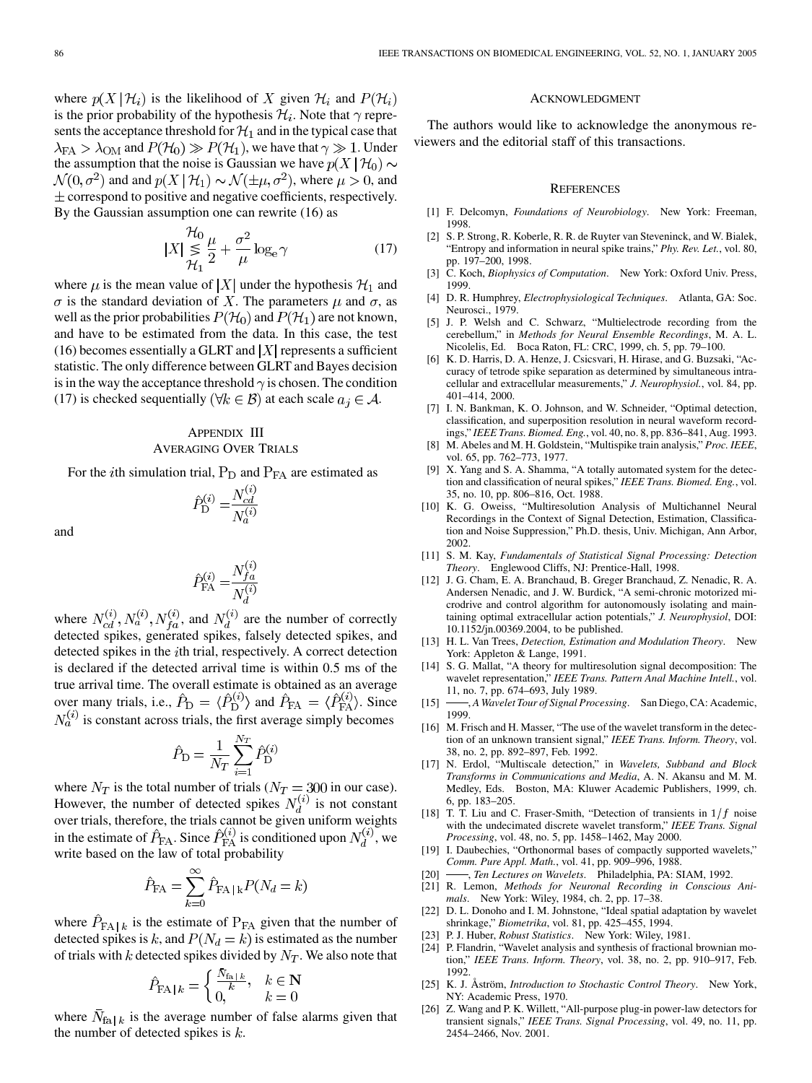<span id="page-12-0"></span>where  $p(X | \mathcal{H}_i)$  is the likelihood of X given  $\mathcal{H}_i$  and  $P(\mathcal{H}_i)$ is the prior probability of the hypothesis  $\mathcal{H}_i$ . Note that  $\gamma$  represents the acceptance threshold for  $\mathcal{H}_1$  and in the typical case that  $\lambda_{\text{FA}} > \lambda_{\text{OM}}$  and  $P(\mathcal{H}_0) \gg P(\mathcal{H}_1)$ , we have that  $\gamma \gg 1$ . Under the assumption that the noise is Gaussian we have  $p(X | \mathcal{H}_0)$  ~  $\mathcal{N}(0, \sigma^2)$  and and  $p(X | \mathcal{H}_1) \sim \mathcal{N}(\pm \mu, \sigma^2)$ , where  $\mu > 0$ , and  $\pm$  correspond to positive and negative coefficients, respectively. By the Gaussian assumption one can rewrite (16) as

$$
|X| \underset{\mathcal{H}_1}{\leq} \frac{\mu_0}{2} + \frac{\sigma^2}{\mu} \log_e \gamma \tag{17}
$$

where  $\mu$  is the mean value of |X| under the hypothesis  $\mathcal{H}_1$  and  $\sigma$  is the standard deviation of X. The parameters  $\mu$  and  $\sigma$ , as well as the prior probabilities  $P(\mathcal{H}_0)$  and  $P(\mathcal{H}_1)$  are not known, and have to be estimated from the data. In this case, the test (16) becomes essentially a GLRT and  $|X|$  represents a sufficient statistic. The only difference between GLRT and Bayes decision is in the way the acceptance threshold  $\gamma$  is chosen. The condition (17) is checked sequentially ( $\forall k \in \mathcal{B}$ ) at each scale  $a_j \in \mathcal{A}$ .

# APPENDIX III AVERAGING OVER TRIALS

For the *i*th simulation trial,  $P_D$  and  $P_{FA}$  are estimated as

$$
\hat{P}_{\rm D}^{(i)} = \frac{N_{cd}^{(i)}}{N_a^{(i)}}
$$

and

$$
\hat{P}_\mathrm{FA}^{(i)} = \frac{N_{fa}^{(i)}}{N_d^{(i)}}
$$

where  $N_{cd}^{(i)}$ ,  $N_a^{(i)}$ ,  $N_{fa}^{(i)}$ , and  $N_d^{(i)}$  are the number of correctly detected spikes, generated spikes, falsely detected spikes, and detected spikes in the *i*th trial, respectively. A correct detection is declared if the detected arrival time is within 0.5 ms of the true arrival time. The overall estimate is obtained as an average over many trials, i.e.,  $P_{\rm D} = \langle P_{\rm D}^{(i)} \rangle$  and  $P_{\rm FA} = \langle P_{\rm FA}^{(i)} \rangle$ . Since is constant across trials, the first average simply becomes

$$
\hat{P}_{\rm D} = \frac{1}{N_T} \sum_{i=1}^{N_T} \hat{P}_{\rm D}^{(i)}
$$

where  $N_T$  is the total number of trials ( $N_T = 300$  in our case). However, the number of detected spikes  $N_d^{(v)}$  is not constant over trials, therefore, the trials cannot be given uniform weights in the estimate of  $\hat{P}_{FA}$ . Since  $\hat{P}_{FA}^{(i)}$  is conditioned upon  $N_d^{(i)}$ , we write based on the law of total probability

$$
\hat{P}_{\text{FA}} = \sum_{k=0}^{\infty} \hat{P}_{\text{FA} | k} P(N_d = k)
$$

where  $P_{FA|k}$  is the estimate of  $P_{FA}$  given that the number of detected spikes is k, and  $P(N_d = k)$  is estimated as the number of trials with k detected spikes divided by  $N_T$ . We also note that

$$
\hat{P}_{\text{FA}|k} = \begin{cases} \frac{N_{\text{fa}|k}}{k}, & k \in \mathbf{N} \\ 0, & k = 0 \end{cases}
$$

where  $N_{fa|k}$  is the average number of false alarms given that the number of detected spikes is  $k$ .

#### ACKNOWLEDGMENT

The authors would like to acknowledge the anonymous reviewers and the editorial staff of this transactions.

#### **REFERENCES**

- [1] F. Delcomyn, *Foundations of Neurobiology*. New York: Freeman, 1998.
- [2] S. P. Strong, R. Koberle, R. R. de Ruyter van Steveninck, and W. Bialek, "Entropy and information in neural spike trains," *Phy. Rev. Let.*, vol. 80, pp. 197–200, 1998.
- [3] C. Koch, *Biophysics of Computation*. New York: Oxford Univ. Press, 1999.
- [4] D. R. Humphrey, *Electrophysiological Techniques*. Atlanta, GA: Soc. Neurosci., 1979.
- [5] J. P. Welsh and C. Schwarz, "Multielectrode recording from the cerebellum," in *Methods for Neural Ensemble Recordings*, M. A. L. Nicolelis, Ed. Boca Raton, FL: CRC, 1999, ch. 5, pp. 79–100.
- K. D. Harris, D. A. Henze, J. Csicsvari, H. Hirase, and G. Buzsaki, "Accuracy of tetrode spike separation as determined by simultaneous intracellular and extracellular measurements," *J. Neurophysiol.*, vol. 84, pp. 401–414, 2000.
- [7] I. N. Bankman, K. O. Johnson, and W. Schneider, "Optimal detection, classification, and superposition resolution in neural waveform recordings," *IEEE Trans. Biomed. Eng.*, vol. 40, no. 8, pp. 836–841, Aug. 1993.
- [8] M. Abeles and M. H. Goldstein, "Multispike train analysis," *Proc. IEEE*, vol. 65, pp. 762–773, 1977.
- [9] X. Yang and S. A. Shamma, "A totally automated system for the detection and classification of neural spikes," *IEEE Trans. Biomed. Eng.*, vol. 35, no. 10, pp. 806–816, Oct. 1988.
- [10] K. G. Oweiss, "Multiresolution Analysis of Multichannel Neural Recordings in the Context of Signal Detection, Estimation, Classification and Noise Suppression," Ph.D. thesis, Univ. Michigan, Ann Arbor, 2002.
- [11] S. M. Kay, *Fundamentals of Statistical Signal Processing: Detection Theory*. Englewood Cliffs, NJ: Prentice-Hall, 1998.
- [12] J. G. Cham, E. A. Branchaud, B. Greger Branchaud, Z. Nenadic, R. A. Andersen Nenadic, and J. W. Burdick, "A semi-chronic motorized microdrive and control algorithm for autonomously isolating and maintaining optimal extracellular action potentials," *J. Neurophysiol*, DOI: 10.1152/jn.00369.2004, to be published.
- [13] H. L. Van Trees, *Detection, Estimation and Modulation Theory*. New York: Appleton & Lange, 1991.
- [14] S. G. Mallat, "A theory for multiresolution signal decomposition: The wavelet representation," *IEEE Trans. Pattern Anal Machine Intell.*, vol. 11, no. 7, pp. 674–693, July 1989.
- [15] , *A Wavelet Tour of Signal Processing*. San Diego, CA: Academic, 1999.
- [16] M. Frisch and H. Masser, "The use of the wavelet transform in the detection of an unknown transient signal," *IEEE Trans. Inform. Theory*, vol. 38, no. 2, pp. 892–897, Feb. 1992.
- [17] N. Erdol, "Multiscale detection," in *Wavelets, Subband and Block Transforms in Communications and Media*, A. N. Akansu and M. M. Medley, Eds. Boston, MA: Kluwer Academic Publishers, 1999, ch. 6, pp. 183–205.
- [18] T. T. Liu and C. Fraser-Smith, "Detection of transients in  $1/f$  noise with the undecimated discrete wavelet transform," *IEEE Trans. Signal Processing*, vol. 48, no. 5, pp. 1458–1462, May 2000.
- [19] I. Daubechies, "Orthonormal bases of compactly supported wavelets," *Comm. Pure Appl. Math.*, vol. 41, pp. 909–996, 1988.
- [20] , *Ten Lectures on Wavelets*. Philadelphia, PA: SIAM, 1992.
- [21] R. Lemon, *Methods for Neuronal Recording in Conscious Animals*. New York: Wiley, 1984, ch. 2, pp. 17–38.
- [22] D. L. Donoho and I. M. Johnstone, "Ideal spatial adaptation by wavelet shrinkage," *Biometrika*, vol. 81, pp. 425–455, 1994.
- [23] P. J. Huber, *Robust Statistics*. New York: Wiley, 1981.
- [24] P. Flandrin, "Wavelet analysis and synthesis of fractional brownian motion," *IEEE Trans. Inform. Theory*, vol. 38, no. 2, pp. 910–917, Feb. 1992.
- [25] K. J. Åström, *Introduction to Stochastic Control Theory*. New York, NY: Academic Press, 1970.
- [26] Z. Wang and P. K. Willett, "All-purpose plug-in power-law detectors for transient signals," *IEEE Trans. Signal Processing*, vol. 49, no. 11, pp. 2454–2466, Nov. 2001.